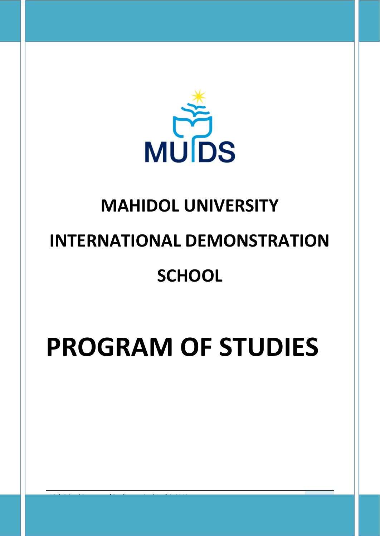

# **MAHIDOL UNIVERSITY INTERNATIONAL DEMONSTRATION**

# **SCHOOL**

# **PROGRAM OF STUDIES**

*High School Program of Studies –revised April 9, 2019* 1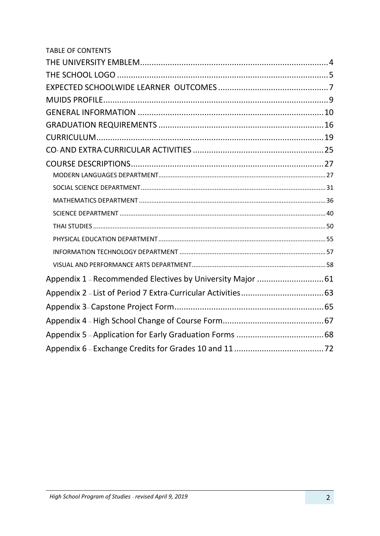| Appendix 1 - Recommended Electives by University Major  61 |  |
|------------------------------------------------------------|--|
|                                                            |  |
|                                                            |  |
|                                                            |  |
|                                                            |  |
|                                                            |  |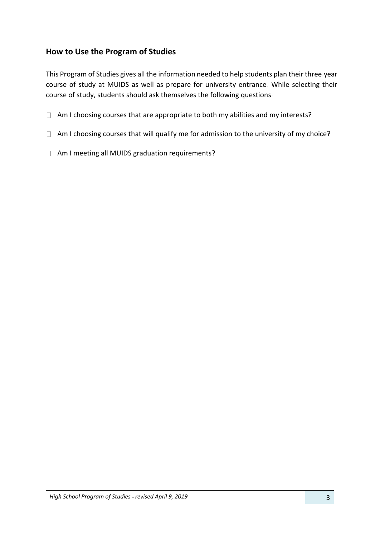# **How to Use the Program of Studies**

This Program of Studies gives all the information needed to help students plan their three-year course of study at MUIDS as well as prepare for university entrance. While selecting their course of study, students should ask themselves the following questions:

- $\Box$  Am I choosing courses that are appropriate to both my abilities and my interests?
- $\Box$  Am I choosing courses that will qualify me for admission to the university of my choice?
- Am I meeting all MUIDS graduation requirements?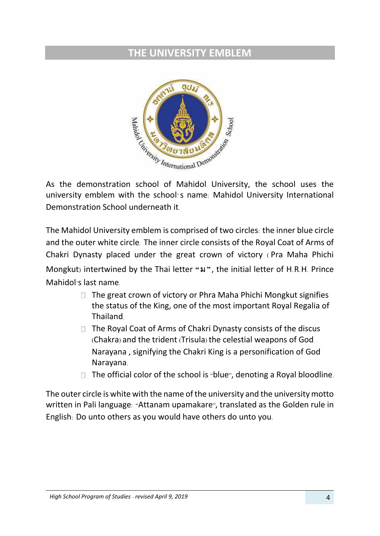# <span id="page-3-0"></span>**THE UNIVERSITY EMBLEM**



university emblem with the school's name: Mahidol University International Demonstration School underneath it.

The Mahidol University emblem is comprised of two circles: the inner blue circle and the outer white circle. The inner circle consists of the Royal Coat of Arms of Chakri Dynasty placed under the great crown of victory ( Pra Maha Phichi Mongkut) intertwined by the Thai letter **"ม"**, the initial letter of H.R.H. Prince Mahidol's last name.

- $\Box$  The great crown of victory or Phra Maha Phichi Mongkut signifies the status of the King, one of the most important Royal Regalia of Thailand.
- $\Box$  The Royal Coat of Arms of Chakri Dynasty consists of the discus (Chakra) and the trident (Trisula) the celestial weapons of God Narayana , signifying the Chakri King is a personification of God Narayana.
- $\Box$  The official color of the school is "blue", denoting a Royal bloodline.

The outer circle is white with the name of the university and the university motto written in Pali language: "Attanam upamakare", translated as the Golden rule in English: Do unto others as you would have others do unto you.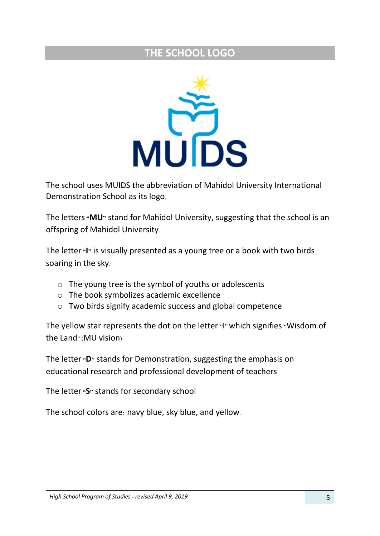# **THE SCHOOL LOGO**

<span id="page-4-0"></span>

The school uses MUIDS the abbreviation of Mahidol University International Demonstration School as its logo.

The letters**"MU"** stand for Mahidol University, suggesting that the school is an offspring of Mahidol University.

The letter**"I"** is visually presented as a young tree or a book with two birds soaring in the sky.

- o The young tree is the symbol of youths or adolescents
- o The book symbolizes academic excellence
- o Two birds signify academic success and global competence

The yellow star represents the dot on the letter "I" which signifies "Wisdom of the Land" (MU vision)

The letter**"D"** stands for Demonstration, suggesting the emphasis on educational research and professional development of teachers

The letter**"S"** stands for secondary school

The school colors are: navy blue, sky blue, and yellow.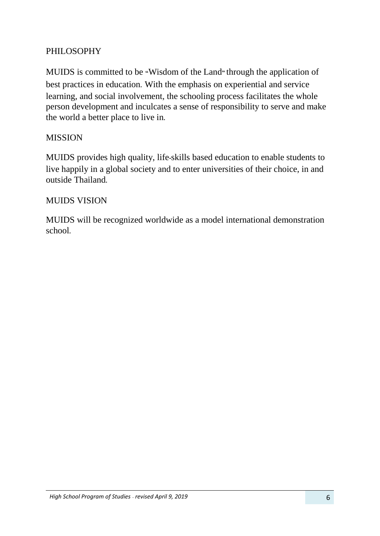# PHILOSOPHY

MUIDS is committed to be **"**Wisdom of the Land**"** through the application of best practices in education**.** With the emphasis on experiential and service learning, and social involvement, the schooling process facilitates the whole person development and inculcates a sense of responsibility to serve and make the world a better place to live in**.**

# **MISSION**

MUIDS provides high quality, life**-**skills based education to enable students to live happily in a global society and to enter universities of their choice, in and outside Thailand**.**

# MUIDS VISION

MUIDS will be recognized worldwide as a model international demonstration school**.**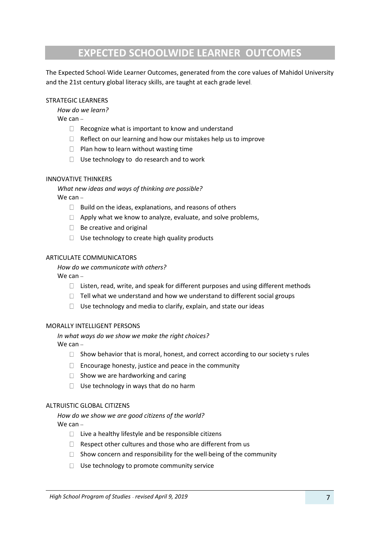# **EXPECTED SCHOOLWIDE LEARNER OUTCOMES**

<span id="page-6-0"></span>The Expected School-Wide Learner Outcomes, generated from the core values of Mahidol University and the 21st century global literacy skills, are taught at each grade level.

#### STRATEGIC LEARNERS

*How do we learn?*

 $We can -$ 

- $\Box$  Recognize what is important to know and understand
- $\Box$ Reflect on our learning and how our mistakes help us to improve
- $\Box$  Plan how to learn without wasting time
- $\Box$  Use technology to do research and to work

#### INNOVATIVE THINKERS

*What new ideas and ways of thinking are possible?* 

We can --

- $\Box$  Build on the ideas, explanations, and reasons of others
- $\Box$  Apply what we know to analyze, evaluate, and solve problems,
- $\Box$  Be creative and original
- $\Box$  Use technology to create high quality products

#### ARTICULATE COMMUNICATORS

*How do we communicate with others?*

#### We can --

- $\Box$  Listen, read, write, and speak for different purposes and using different methods
- $\Box$  Tell what we understand and how we understand to different social groups
- $\Box$  Use technology and media to clarify, explain, and state our ideas

#### MORALLY INTELLIGENT PERSONS

*In what ways do we show we make the right choices?*

We can --

- $\Box$  Show behavior that is moral, honest, and correct according to our society's rules
- $\Box$  Encourage honesty, justice and peace in the community
- $\Box$  Show we are hardworking and caring
- $\Box$ Use technology in ways that do no harm

#### ALTRUISTIC GLOBAL CITIZENS

*How do we show we are good citizens of the world?* We can --

- $\Box$  Live a healthy lifestyle and be responsible citizens
- $\Box$  Respect other cultures and those who are different from us
- $\Box$  Show concern and responsibility for the well-being of the community
- $\Box$  Use technology to promote community service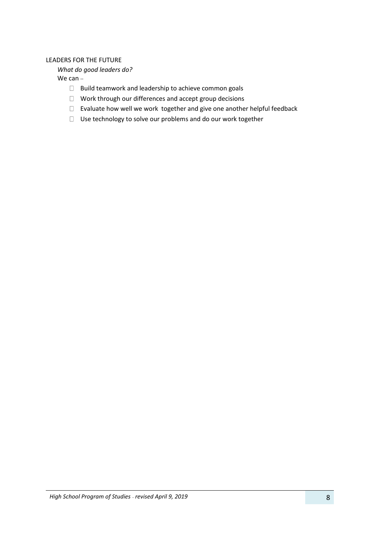#### LEADERS FOR THE FUTURE

*What do good leaders do?*

We can --

- $\Box$  Build teamwork and leadership to achieve common goals
- Work through our differences and accept group decisions
- Evaluate how well we work together and give one another helpful feedback
- $\Box$  Use technology to solve our problems and do our work together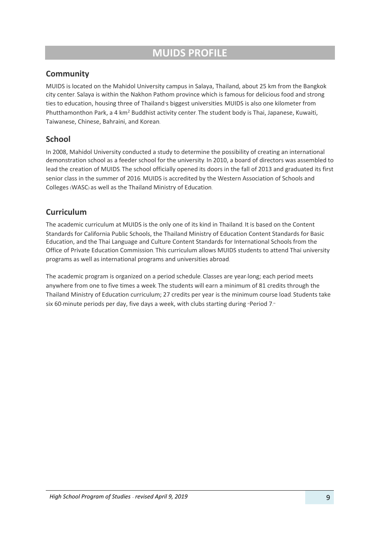# **MUIDS PROFILE**

# <span id="page-8-0"></span>**Community**

MUIDS is located on the Mahidol University campus in Salaya, Thailand, about 25 km from the Bangkok city center. Salaya is within the Nakhon Pathom province which is famous for delicious food and strong ties to education, housing three of Thailand's biggest universities. MUIDS is also one kilometer from Phutthamonthon Park, a 4 km<sup>2</sup> Buddhist activity center. The student body is Thai, Japanese, Kuwaiti, Taiwanese, Chinese, Bahraini, and Korean.

# **School**

In 2008, Mahidol University conducted a study to determine the possibility of creating an international demonstration school as a feeder school for the university. In 2010, a board of directors was assembled to lead the creation of MUIDS. The school officially opened its doors in the fall of 2013 and graduated its first senior class in the summer of 2016. MUIDS is accredited by the Western Association of Schools and Colleges (WASC) as well as the Thailand Ministry of Education.

# **Curriculum**

The academic curriculum at MUIDS is the only one of its kind in Thailand. It is based on the Content Standards for California Public Schools, the Thailand Ministry of Education Content Standards for Basic Education, and the Thai Language and Culture Content Standards for International Schools from the Office of Private Education Commission. This curriculum allows MUIDS students to attend Thai university programs as well as international programs and universities abroad.

The academic program is organized on a period schedule. Classes are year-long; each period meets anywhere from one to five times a week. The students will earn a minimum of 81 credits through the Thailand Ministry of Education curriculum; 27 credits per year is the minimum course load. Students take six 60-minute periods per day, five days a week, with clubs starting during "Period 7."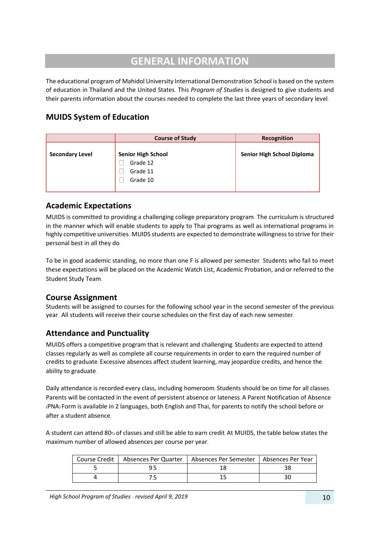# **GENERAL INFORMATION**

<span id="page-9-0"></span>The educational program of Mahidol University International Demonstration School is based on the system of education in Thailand and the United States. This *Program of Studies* is designed to give students and their parents information about the courses needed to complete the last three years of secondary level.

# **MUIDS System of Education**

|                        | <b>Course of Study</b>    | Recognition                |
|------------------------|---------------------------|----------------------------|
| <b>Secondary Level</b> | <b>Senior High School</b> | Senior High School Diploma |
|                        | Grade 12                  |                            |
|                        | Grade 11                  |                            |
|                        | Grade 10                  |                            |
|                        |                           |                            |

# **Academic Expectations**

MUIDS is committed to providing a challenging college preparatory program. The curriculum is structured in the manner which will enable students to apply to Thai programs as well as international programs in highly competitive universities. MUIDS students are expected to demonstrate willingness to strive for their personal best in all they do.

To be in good academic standing, no more than one F is allowed per semester. Students who fail to meet these expectations will be placed on the Academic Watch List, Academic Probation, and/or referred to the Student Study Team.

# **Course Assignment**

Students will be assigned to courses for the following school year in the second semester of the previous year. All students will receive their course schedules on the first day of each new semester.

# **Attendance and Punctuality**

MUIDS offers a competitive program that is relevant and challenging. Students are expected to attend classes regularly as well as complete all course requirements in order to earn the required number of credits to graduate. Excessive absences affect student learning, may jeopardize credits, and hence the ability to graduate.

Daily attendance is recorded every class, including homeroom. Students should be on time for all classes. Parents will be contacted in the event of persistent absence or lateness. A Parent Notification of Absence (PNA) Form is available in 2 languages, both English and Thai, for parents to notify the school before or after a student absence.

A student can attend 80% of classes and still be able to earn credit. At MUIDS, the table below states the maximum number of allowed absences per course per year.

|  | Course Credit   Absences Per Quarter   Absences Per Semester   Absences Per Year |  |
|--|----------------------------------------------------------------------------------|--|
|  |                                                                                  |  |
|  |                                                                                  |  |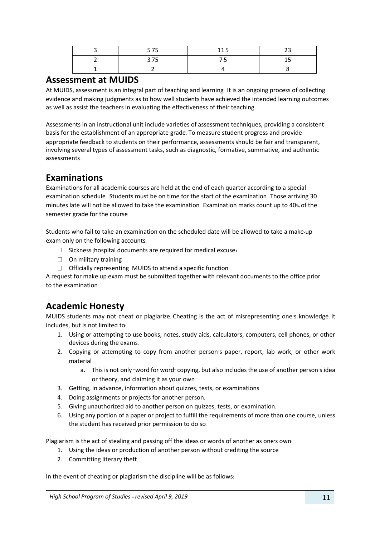| -- | -<br>---                 |  |
|----|--------------------------|--|
| -- | $\overline{\phantom{a}}$ |  |
|    |                          |  |

# **Assessment at MUIDS**

At MUIDS, assessment is an integral part of teaching and learning. It is an ongoing process of collecting evidence and making judgments as to how well students have achieved the intended learning outcomes as well as assist the teachers in evaluating the effectiveness of their teaching.

Assessments in an instructional unit include varieties of assessment techniques, providing a consistent basis for the establishment of an appropriate grade. To measure student progress and provide appropriate feedback to students on their performance, assessments should be fair and transparent, involving several types of assessment tasks, such as diagnostic, formative, summative, and authentic assessments.

# **Examinations**

Examinations for all academic courses are held at the end of each quarter according to a special examination schedule. Students must be on time for the start of the examination. Those arriving 30 minutes late will not be allowed to take the examination. Examination marks count up to 40% of the semester grade for the course.

Students who fail to take an examination on the scheduled date will be allowed to take a make-up exam only on the following accounts:

- $\Box$  Sickness (hospital documents are required for medical excuse)
- $\Box$  On military training
- $\Box$  Officially representing MUIDS to attend a specific function

A request for make-up exam must be submitted together with relevant documents to the office prior to the examination.

# **Academic Honesty**

MUIDS students may not cheat or plagiarize. Cheating is the act of misrepresenting one's knowledge. It includes, but is not limited to:

- 1. Using or attempting to use books, notes, study aids, calculators, computers, cell phones, or other devices during the exams.
- 2. Copying or attempting to copy from another person's paper, report, lab work, or other work material.
	- a. This is not only "word for word" copying, but also includes the use of another person's idea or theory, and claiming it as your own.
- 3. Getting, in advance, information about quizzes, tests, or examinations.
- 4. Doing assignments or projects for another person.
- 5. Giving unauthorized aid to another person on quizzes, tests, or examination.
- 6. Using any portion of a paper or project to fulfill the requirements of more than one course, unless the student has received prior permission to do so.

Plagiarism is the act of stealing and passing off the ideas or words of another as one's own:

- 1. Using the ideas or production of another person without crediting the source.
- 2. Committing literary theft.

In the event of cheating or plagiarism the discipline will be as follows: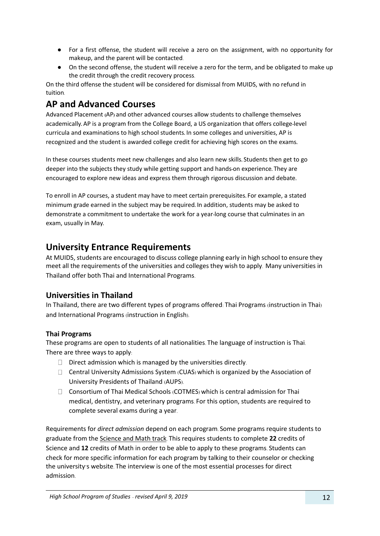- For a first offense, the student will receive a zero on the assignment, with no opportunity for makeup, and the parent will be contacted.
- On the second offense, the student will receive a zero for the term, and be obligated to make up the credit through the credit recovery process.

On the third offense the student will be considered for dismissal from MUIDS, with no refund in tuition.

# **AP and Advanced Courses**

Advanced Placement **(**AP**)** and other advanced courses allow students to challenge themselves academically**.** AP is a program from the College Board, a US organization that offers college**-**level curricula and examinations to high school students**.** In some colleges and universities, AP is recognized and the student is awarded college credit for achieving high scores on the exams**.**

In these courses students meet new challenges and also learn new skills**.** Students then get to go deeper into the subjects they study while getting support and hands**-**on experience**.** They are encouraged to explore new ideas and express them through rigorous discussion and debate**.** 

To enroll in AP courses, a student may have to meet certain prerequisites**.** For example, a stated minimum grade earned in the subject may be required**.** In addition, students may be asked to demonstrate a commitment to undertake the work for a year**-**long course that culminates in an exam, usually in May**.** 

# **University Entrance Requirements**

At MUIDS, students are encouraged to discuss college planning early in high school to ensure they meet all the requirements of the universities and colleges they wish to apply. Many universities in Thailand offer both Thai and International Programs.

# **Universities in Thailand**

In Thailand, there are two different types of programs offered: Thai Programs (instruction in Thai) and International Programs (instruction in English).

# **Thai Programs**

These programs are open to students of all nationalities. The language of instruction is Thai. There are three ways to apply:

- $\Box$  Direct admission which is managed by the universities directly.
- Central University Admissions System (CUAS) which is organized by the Association of University Presidents of Thailand (AUPS).
- Consortium of Thai Medical Schools (COTMES) which is central admission for Thai medical, dentistry, and veterinary programs. For this option, students are required to complete several exams during a year.

Requirements for *direct admission* depend on each program. Some programs require students to graduate from the Science and Math track. This requires students to complete **22** credits of Science and **12** credits of Math in order to be able to apply to these programs. Students can check for more specific information for each program by talking to their counselor or checking the university's website. The interview is one of the most essential processes for direct admission.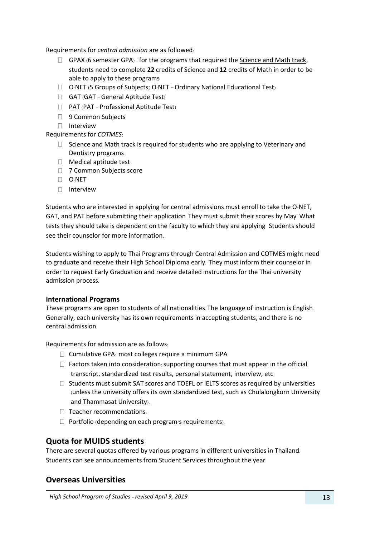Requirements for *central admission* are as followed:

- $\Box$  GPAX (6 semester GPA) for the programs that required the Science and Math track, students need to complete **22** credits of Science and **12** credits of Math in order to be able to apply to these programs
- O-NET (5 Groups of Subjects; O-NET = Ordinary National Educational Test)
- $\Box$  GAT (GAT = General Aptitude Test)
- $\Box$  PAT (PAT = Professional Aptitude Test)
- 9 Common Subjects
- □ Interview

Requirements for *COTMES*:

- $\Box$  Science and Math track is required for students who are applying to Veterinary and Dentistry programs
- □ Medical aptitude test
- □ 7 Common Subjects score
- O-NET
- □ Interview

Students who are interested in applying for central admissions must enroll to take the O-NET, GAT, and PAT before submitting their application. They must submit their scores by May. What tests they should take is dependent on the faculty to which they are applying. Students should see their counselor for more information.

Students wishing to apply to Thai Programs through Central Admission and COTMES might need to graduate and receive their High School Diploma early. They must inform their counselor in order to request Early Graduation and receive detailed instructions for the Thai university admission process.

#### **International Programs**

These programs are open to students of all nationalities. The language of instruction is English. Generally, each university has its own requirements in accepting students, and there is no central admission.

Requirements for admission are as follows:

- $\square$  Cumulative GPA: most colleges require a minimum GPA.
- $\Box$  Factors taken into consideration: supporting courses that must appear in the official transcript, standardized test results, personal statement, interview, etc.
- $\Box$  Students must submit SAT scores and TOEFL or IELTS scores as required by universities (unless the university offers its own standardized test, such as Chulalongkorn University and Thammasat University).
- $\Box$  Teacher recommendations.
- $\Box$  Portfolio (depending on each program's requirements).

# **Quota for MUIDS students**

There are several quotas offered by various programs in different universities in Thailand. Students can see announcements from Student Services throughout the year.

# **Overseas Universities**

*High School Program of Studies - revised April 9, 2019* 13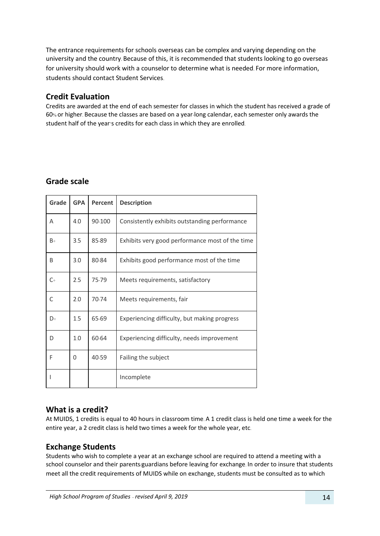The entrance requirements for schools overseas can be complex and varying depending on the university and the country. Because of this, it is recommended that students looking to go overseas for university should work with a counselor to determine what is needed. For more information, students should contact Student Services.

# **Credit Evaluation**

Credits are awarded at the end of each semester for classes in which the student has received a grade of 60% or higher. Because the classes are based on a year-long calendar, each semester only awards the student half of the year's credits for each class in which they are enrolled.

# **Grade scale**

| Grade   | <b>GPA</b> | Percent | <b>Description</b>                              |
|---------|------------|---------|-------------------------------------------------|
| A       | 4.0        | 90-100  | Consistently exhibits outstanding performance   |
| $B+$    | 3.5        | 85-89   | Exhibits very good performance most of the time |
| B       | 3.0        | 80-84   | Exhibits good performance most of the time      |
| $C_{+}$ | 2.5        | 75-79   | Meets requirements, satisfactory                |
| C       | 2.0        | 70-74   | Meets requirements, fair                        |
| D+      | 1.5        | 65-69   | Experiencing difficulty, but making progress    |
| D       | 1.0        | 60-64   | Experiencing difficulty, needs improvement      |
| F       | 0          | 40-59   | Failing the subject                             |
|         |            |         | Incomplete                                      |

# **What is a credit?**

At MUIDS, 1 credits is equal to 40 hours in classroom time. A 1 credit class is held one time a week for the entire year, a 2 credit class is held two times a week for the whole year, etc.

# **Exchange Students**

Students who wish to complete a year at an exchange school are required to attend a meeting with a school counselor and their parents/guardians before leaving for exchange. In order to insure that students meet all the credit requirements of MUIDS while on exchange, students must be consulted as to which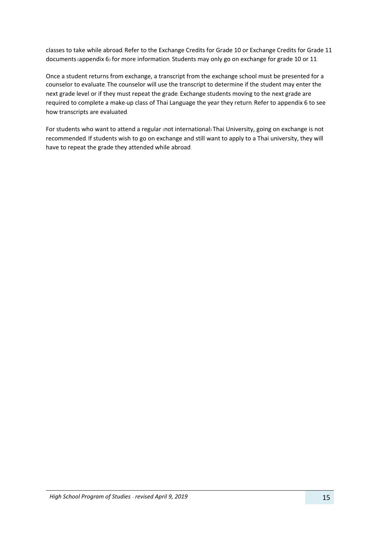classes to take while abroad. Refer to the Exchange Credits for Grade 10 or Exchange Credits for Grade 11 documents (appendix 6) for more information. Students may only go on exchange for grade 10 or 11.

Once a student returns from exchange, a transcript from the exchange school must be presented for a counselor to evaluate. The counselor will use the transcript to determine if the student may enter the next grade level or if they must repeat the grade. Exchange students moving to the next grade are required to complete a make-up class of Thai Language the year they return. Refer to appendix 6 to see how transcripts are evaluated.

For students who want to attend a regular (not international) Thai University, going on exchange is not recommended. If students wish to go on exchange and still want to apply to a Thai university, they will have to repeat the grade they attended while abroad.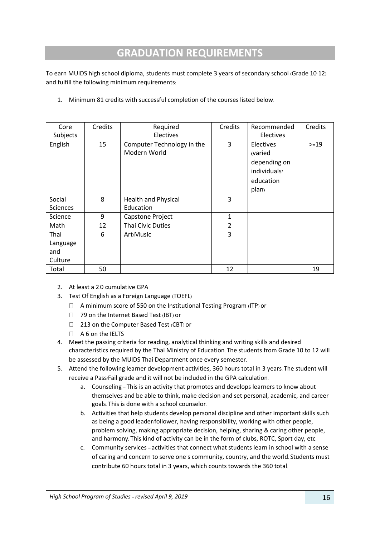# **GRADUATION REQUIREMENTS**

<span id="page-15-0"></span>To earn MUIDS high school diploma, students must complete 3 years of secondary school (Grade 10-12) and fulfill the following minimum requirements:

|  | 1. Minimum 81 credits with successful completion of the courses listed below. |
|--|-------------------------------------------------------------------------------|
|--|-------------------------------------------------------------------------------|

| Core            | Credits | Required                                   | Credits | Recommended                                                                            | Credits |
|-----------------|---------|--------------------------------------------|---------|----------------------------------------------------------------------------------------|---------|
| Subjects        |         | Electives                                  |         | <b>Electives</b>                                                                       |         |
| English         | 15      | Computer Technology in the<br>Modern World | 3       | Electives<br>(varied<br>depending on<br>individuals <sup>,</sup><br>education<br>plan) | $>=19$  |
| Social          | 8       | <b>Health and Physical</b>                 | 3       |                                                                                        |         |
| <b>Sciences</b> |         | Education                                  |         |                                                                                        |         |
| Science         | 9       | Capstone Project                           | 1       |                                                                                        |         |
| Math            | 12      | <b>Thai Civic Duties</b>                   | 2       |                                                                                        |         |
| Thai            | 6       | Art/Music                                  | 3       |                                                                                        |         |
| Language        |         |                                            |         |                                                                                        |         |
| and             |         |                                            |         |                                                                                        |         |
| Culture         |         |                                            |         |                                                                                        |         |
| Total           | 50      |                                            | 12      |                                                                                        | 19      |

- 2. At least a 2.0 cumulative GPA
- 3. Test Of English as a Foreign Language (TOEFL)
	- $\Box$  A minimum score of 550 on the Institutional Testing Program (ITP) or
	- □ 79 on the Internet Based Test (IBT) or
	- □ 213 on the Computer Based Test (CBT) or
	- $A 6$  on the IELTS
- 4. Meet the passing criteria for reading, analytical thinking and writing skills and desired characteristics required by the Thai Ministry of Education. The students from Grade 10 to 12 will be assessed by the MUIDS Thai Department once every semester.
- 5. Attend the following learner development activities, 360 hours total in 3 years. The student will receive a Pass/Fail grade and it will not be included in the GPA calculation.
	- a. Counseling This is an activity that promotes and develops learners to know about themselves and be able to think, make decision and set personal, academic, and career goals. This is done with a school counselor.
	- b. Activities that help students develop personal discipline and other important skills such as being a good leader/follower, having responsibility, working with other people, problem solving, making appropriate decision, helping, sharing & caring other people, and harmony. This kind of activity can be in the form of clubs, ROTC, Sport day, etc.
	- c. Community services activities that connect what students learn in school with a sense of caring and concern to serve one's community, country, and the world. Students must contribute 60 hours total in 3 years, which counts towards the 360 total.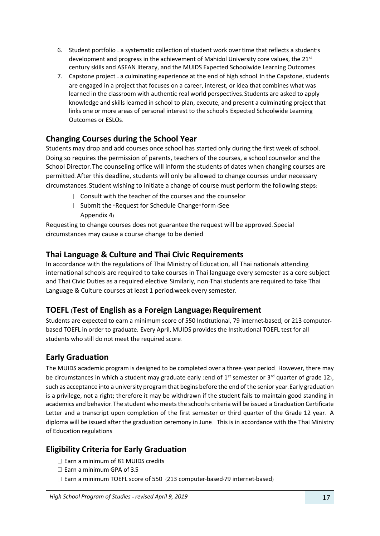- 6. Student portfolio a systematic collection of student work overtime that reflects a student's development and progress in the achievement of Mahidol University core values, the  $21<sup>st</sup>$ century skills and ASEAN literacy, and the MUIDS Expected Schoolwide Learning Outcomes.
- 7. Capstone project a culminating experience at the end of high school. In the Capstone, students are engaged in a project that focuses on a career, interest, or idea that combines what was learned in the classroom with authentic real world perspectives. Students are asked to apply knowledge and skills learned in school to plan, execute, and present a culminating project that links one or more areas of personal interest to the school's Expected Schoolwide Learning Outcomes or ESLOs.

# **Changing Courses during the School Year**

Students may drop and add courses once school has started only during the first week of school. Doing so requires the permission of parents, teachers of the courses, a school counselor and the School Director. The counseling office will inform the students of dates when changing courses are permitted. After this deadline, students will only be allowed to change courses under necessary circumstances. Student wishing to initiate a change of course must perform the following steps:

- $\Box$  Consult with the teacher of the courses and the counselor
- $\Box$  Submit the "Request for Schedule Change" form (See Appendix 4)

Requesting to change courses does not guarantee the request will be approved. Special circumstances may cause a course change to be denied.

# **Thai Language & Culture and Thai Civic Requirements**

In accordance with the regulations of Thai Ministry of Education, all Thai nationals attending international schools are required to take courses in Thai language every semester as a core subject and Thai Civic Duties as a required elective. Similarly, non-Thai students are required to take Thai Language & Culture courses at least 1 period/week every semester.

# **TOEFL (Test of English as a Foreign Language) Requirement**

Students are expected to earn a minimum score of 550 Institutional, 79 internet-based, or 213 computerbased TOEFL in order to graduate. Every April, MUIDS provides the Institutional TOEFL test for all students who still do not meet the required score.

# **Early Graduation**

The MUIDS academic program is designed to be completed over a three-year period. However, there may be circumstances in which a student may graduate early (end of  $1^{st}$  semester or  $3^{rd}$  quarter of grade 12), such as acceptance into a university program that begins before the end of the senior year. Early graduation is a privilege, not a right; therefore it may be withdrawn if the student fails to maintain good standing in academics and behavior. The student who meets the school's criteria will be issued a Graduation Certificate Letter and a transcript upon completion of the first semester or third quarter of the Grade 12 year. A diploma will be issued after the graduation ceremony in June. This is in accordance with the Thai Ministry of Education regulations.

# **Eligibility Criteria for Early Graduation**

- $\Box$  Earn a minimum of 81 MUIDS credits
- $\square$  Earn a minimum GPA of 3.5
- $\Box$  Earn a minimum TOEFL score of 550 (213 computer-based/79 internet-based)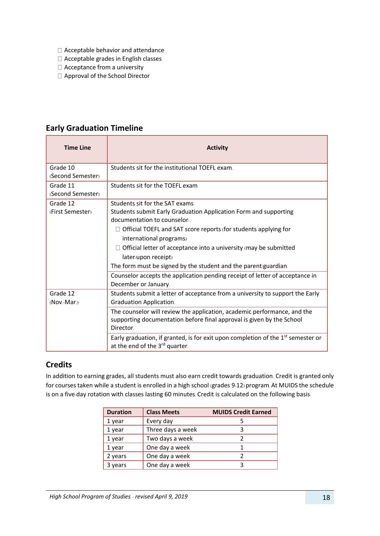- Acceptable behavior and attendance
- Acceptable grades in English classes
- $\Box$  Acceptance from a university
- □ Approval of the School Director

| <b>Time Line</b>  | <b>Activity</b>                                                                                                      |
|-------------------|----------------------------------------------------------------------------------------------------------------------|
| Grade 10          | Students sit for the institutional TOEFL exam.                                                                       |
| (Second Semester) |                                                                                                                      |
| Grade 11          | Students sit for the TOEFL exam                                                                                      |
| (Second Semester) |                                                                                                                      |
| Grade 12          | Students sit for the SAT exams                                                                                       |
| (First Semester)  | Students submit Early Graduation Application Form and supporting                                                     |
|                   | documentation to counselor:                                                                                          |
|                   | $\Box$ Official TOEFL and SAT score reports (for students applying for                                               |
|                   | international programs)                                                                                              |
|                   | Official letter of acceptance into a university (may be submitted                                                    |
|                   | later/upon receipt)                                                                                                  |
|                   | The form must be signed by the student and the parent/guardian.                                                      |
|                   | Counselor accepts the application pending receipt of letter of acceptance in                                         |
|                   | December or January.                                                                                                 |
| Grade 12          | Students submit a letter of acceptance from a university to support the Early                                        |
| (Nov.-Mar.)       | <b>Graduation Application.</b>                                                                                       |
|                   | The counselor will review the application, academic performance, and the                                             |
|                   | supporting documentation before final approval is given by the School                                                |
|                   | Director.                                                                                                            |
|                   | Early graduation, if granted, is for exit upon completion of the $1st$ semester or<br>at the end of the 3rd quarter. |

# **Early Graduation Timeline**

# **Credits**

In addition to earning grades, all students must also earn credit towards graduation. Credit is granted only for courses taken while a student is enrolled in a high school (grades 9-12) program. At MUIDS the schedule is on a five-day rotation with classes lasting 60 minutes. Credit is calculated on the following basis:

| <b>Duration</b> | <b>Class Meets</b> | <b>MUIDS Credit Earned</b> |
|-----------------|--------------------|----------------------------|
| 1 year          | Every day          |                            |
| 1 year          | Three days a week  | ੨                          |
| 1 year          | Two days a week    |                            |
| 1 year          | One day a week     |                            |
| 2 years         | One day a week     |                            |
| 3 years         | One day a week     | З                          |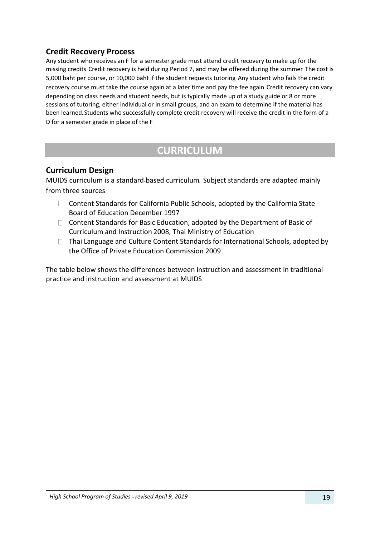# **Credit Recovery Process**

Any student who receives an F for a semester grade must attend credit recovery to make up for the missing credits. Credit recovery is held during Period 7, and may be offered during the summer. The cost is 5,000 baht per course, or 10,000 baht if the student requests tutoring. Any student who fails the credit recovery course must take the course again at a later time and pay the fee again. Credit recovery can vary depending on class needs and student needs, but is typically made up of a study guide or 8 or more sessions of tutoring, either individual or in small groups, and an exam to determine if the material has been learned. Students who successfully complete credit recovery will receive the credit in the form of a D for a semester grade in place of the F.

# **CURRICULUM**

# <span id="page-18-0"></span>**Curriculum Design**

MUIDS curriculum is a standard*-*based curriculum*.* Subject standards are adapted mainly from three sources*:* 

- $\Box$  Content Standards for California Public Schools, adopted by the California State Board of Education December 1997
- $\Box$  Content Standards for Basic Education, adopted by the Department of Basic of Curriculum and Instruction 2008, Thai Ministry of Education
- $\Box$  Thai Language and Culture Content Standards for International Schools, adopted by the Office of Private Education Commission 2009

The table below shows the differences between instruction and assessment in traditional practice and instruction and assessment at MUIDS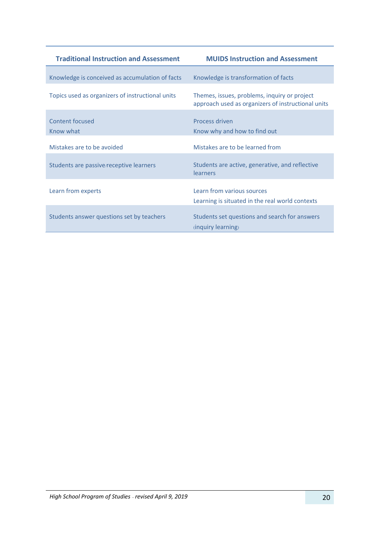| <b>Traditional Instruction and Assessment</b>    | <b>MUIDS Instruction and Assessment</b>                                                            |
|--------------------------------------------------|----------------------------------------------------------------------------------------------------|
| Knowledge is conceived as accumulation of facts  | Knowledge is transformation of facts                                                               |
| Topics used as organizers of instructional units | Themes, issues, problems, inquiry or project<br>approach used as organizers of instructional units |
| Content focused<br>Know what                     | Process driven<br>Know why and how to find out                                                     |
| Mistakes are to be avoided                       | Mistakes are to be learned from                                                                    |
| Students are passive/receptive learners          | Students are active, generative, and reflective<br>learners                                        |
| Learn from experts                               | Learn from various sources<br>Learning is situated in the real world contexts                      |
| Students answer questions set by teachers        | Students set questions and search for answers<br>(inquiry learning)                                |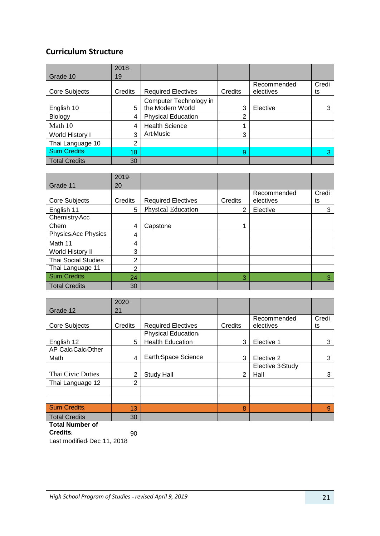# **Curriculum Structure**

|                      | $2018-$ |                           |         |             |       |
|----------------------|---------|---------------------------|---------|-------------|-------|
| Grade 10             | 19      |                           |         |             |       |
|                      |         |                           |         | Recommended | Credi |
| Core Subjects        | Credits | <b>Required Electives</b> | Credits | electives   | ts    |
|                      |         | Computer Technology in    |         |             |       |
| English 10           | 5       | the Modern World          | 3       | Elective    |       |
| Biology              | 4       | <b>Physical Education</b> | ⌒       |             |       |
| Math 10              | 4       | <b>Health Science</b>     |         |             |       |
| World History I      | 3       | Art/Music                 | 3       |             |       |
| Thai Language 10     | າ       |                           |         |             |       |
| Sum Credits:         | 18      |                           | 9       |             | 3     |
| <b>Total Credits</b> | 30      |                           |         |             |       |

|                            | 2019-          |                           |         |             |       |
|----------------------------|----------------|---------------------------|---------|-------------|-------|
| Grade 11                   | 20             |                           |         |             |       |
|                            |                |                           |         | Recommended | Credi |
| Core Subjects              | Credits        | <b>Required Electives</b> | Credits | electives   | ts    |
| English 11                 | 5              | <b>Physical Education</b> | 2       | Elective    | 3     |
| Chemistry/Acc              |                |                           |         |             |       |
| Chem                       | 4              | Capstone                  |         |             |       |
| Physics/Acc Physics        | 4              |                           |         |             |       |
| Math 11                    | 4              |                           |         |             |       |
| World History II           | 3              |                           |         |             |       |
| <b>Thai Social Studies</b> | 2              |                           |         |             |       |
| Thai Language 11           | $\overline{2}$ |                           |         |             |       |
| Sum Credits:               | 24             |                           | 3       |             | 3     |
| <b>Total Credits</b>       | 30             |                           |         |             |       |

|                        | $2020 -$      |                           |         |                  |       |
|------------------------|---------------|---------------------------|---------|------------------|-------|
| Grade 12               | 21            |                           |         |                  |       |
|                        |               |                           |         | Recommended      | Credi |
| Core Subjects          | Credits       | <b>Required Electives</b> | Credits | electives        | ts    |
|                        |               | Physical Education/       |         |                  |       |
| English 12             | 5             | <b>Health Education</b>   | 3       | Elective 1       | 3     |
| AP Calc/Calc/Other     |               |                           |         |                  |       |
| Math                   | 4             | Earth/Space Science       | 3       | Elective 2       | 3     |
|                        |               |                           |         | Elective 3/Study |       |
| Thai Civic Duties      | 2             | Study Hall                | 2       | Hall             | 3     |
| Thai Language 12       | $\mathcal{P}$ |                           |         |                  |       |
|                        |               |                           |         |                  |       |
|                        |               |                           |         |                  |       |
| Sum Credits:           | 13            |                           | 8       |                  | 9     |
| <b>Total Credits</b>   | 30            |                           |         |                  |       |
| <b>Total Number of</b> |               |                           |         |                  |       |

**Credits:** 90

Last modified: Dec. 11, 2018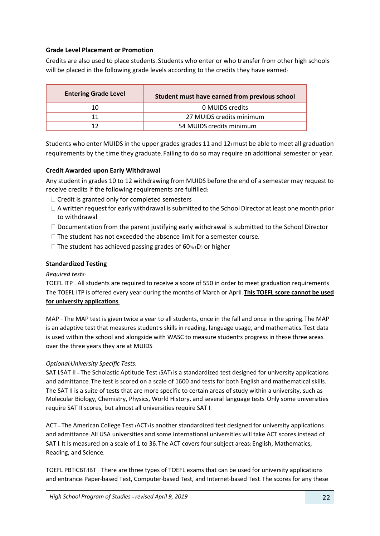#### **Grade Level Placement or Promotion**

Credits are also used to place students. Students who enter or who transfer from other high schools will be placed in the following grade levels according to the credits they have earned:

| <b>Entering Grade Level</b> | Student must have earned from previous school |
|-----------------------------|-----------------------------------------------|
| 10                          | 0 MUIDS credits                               |
| 11                          | 27 MUIDS credits minimum                      |
| 17                          | 54 MUIDS credits minimum                      |

Students who enter MUIDS in the upper grades (grades 11 and 12) must be able to meet all graduation requirements by the time they graduate. Failing to do so may require an additional semester or year.

#### **Credit Awarded upon Early Withdrawal**

Any student in grades 10 to 12 withdrawing from MUIDS before the end of a semester may request to receive credits if the following requirements are fulfilled:

- $\Box$  Credit is granted only for completed semesters
- $\Box$  A written request for early withdrawal is submitted to the School Director at least one month prior to withdrawal.
- $\Box$  Documentation from the parent justifying early withdrawal is submitted to the School Director.
- $\Box$  The student has not exceeded the absence limit for a semester course.
- $\Box$  The student has achieved passing grades of 60% (D) or higher

#### **Standardized Testing**

#### *Required tests:*

TOEFL ITP – All students are required to receive a score of 550 in order to meet graduation requirements. The TOEFL ITP is offered every year during the months of March or April. **This TOEFL score cannot be used for university applications.**

MAP – The MAP test is given twice a year to all students, once in the fall and once in the spring. The MAP is an adaptive test that measures student's skills in reading, language usage, and mathematics. Test data is used within the school and alongside with WASC to measure student's progress in these three areas over the three years they are at MUIDS.

#### *Optional/University Specific Tests:*

SAT I/SAT II – The Scholastic Aptitude Test (SAT) is a standardized test designed for university applications and admittance. The test is scored on a scale of 1600 and tests for both English and mathematical skills. The SAT II is a suite of tests that are more specific to certain areas of study within a university, such as Molecular Biology, Chemistry, Physics, World History, and several language tests. Only some universities require SAT II scores, but almost all universities require SAT I.

ACT – The American College Test (ACT) is another standardized test designed for university applications and admittance. All USA universities and some International universities will take ACT scores instead of SAT I. It is measured on a scale of 1 to 36. The ACT covers four subject areas: English, Mathematics, Reading, and Science.

TOEFL PBT/CBT/IBT – There are three types of TOEFL exams that can be used for university applications and entrance: Paper-based Test, Computer-based Test, and Internet-based Test. The scores for any these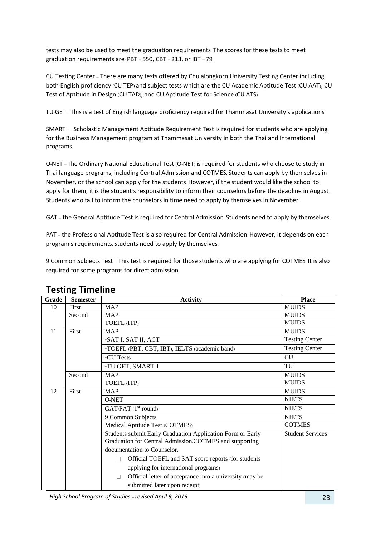tests may also be used to meet the graduation requirements. The scores for these tests to meet graduation requirements are: PBT = 550, CBT = 213, or IBT = 79.

CU Testing Center – There are many tests offered by Chulalongkorn University Testing Center including both English proficiency (CU-TEP) and subject tests which are the CU Academic Aptitude Test (CU-AAT), CU Test of Aptitude in Design (CU-TAD), and CU Aptitude Test for Science (CU-ATS).

TU-GET – This is a test of English language proficiency required for Thammasat University's applications.

SMART I – Scholastic Management Aptitude Requirement Test is required for students who are applying for the Business Management program at Thammasat University in both the Thai and International programs.

O-NET – The Ordinary National Educational Test (O-NET) is required for students who choose to study in Thai language programs, including Central Admission and COTMES. Students can apply by themselves in November, or the school can apply for the students. However, if the student would like the school to apply for them, it is the student's responsibility to inform their counselors before the deadline in August. Students who fail to inform the counselors in time need to apply by themselves in November.

GAT – the General Aptitude Test is required for Central Admission. Students need to apply by themselves.

PAT – the Professional Aptitude Test is also required for Central Admission. However, it depends on each program's requirements. Students need to apply by themselves.

9 Common Subjects Test – This test is required for those students who are applying for COTMES. It is also required for some programs for direct admission.

| Grade | <b>Semester</b> | <b>Activity</b>                                              | <b>Place</b>            |
|-------|-----------------|--------------------------------------------------------------|-------------------------|
| 10    | <b>First</b>    | <b>MAP</b>                                                   | <b>MUIDS</b>            |
|       | Second          | <b>MAP</b>                                                   | <b>MUIDS</b>            |
|       |                 | TOEFL (ITP)                                                  | <b>MUIDS</b>            |
| 11    | First           | <b>MAP</b>                                                   | <b>MUIDS</b>            |
|       |                 | *SAT I, SAT II, ACT                                          | <b>Testing Center</b>   |
|       |                 | *TOEFL (PBT, CBT, IBT), IELTS (academic band)                | <b>Testing Center</b>   |
|       |                 | *CU Tests                                                    | <b>CU</b>               |
|       |                 | *TU-GET, SMART 1                                             | TU                      |
|       | Second          | <b>MAP</b>                                                   | <b>MUIDS</b>            |
|       |                 | TOEFL (ITP)                                                  | <b>MUIDS</b>            |
| 12    | First           | <b>MAP</b>                                                   | <b>MUIDS</b>            |
|       |                 | <b>O-NET</b>                                                 | <b>NIETS</b>            |
|       |                 | GAT/PAT (1 <sup>st</sup> round)                              | <b>NIETS</b>            |
|       |                 | 9 Common Subjects                                            | <b>NIETS</b>            |
|       |                 | Medical Aptitude Test (COTMES)                               | <b>COTMES</b>           |
|       |                 | Students submit Early Graduation Application Form or Early   | <b>Student Services</b> |
|       |                 | Graduation for Central Admission/COTMES and supporting       |                         |
|       |                 | documentation to Counselor.                                  |                         |
|       |                 | Official TOEFL and SAT score reports (for students<br>$\Box$ |                         |
|       |                 | applying for international programs)                         |                         |
|       |                 | Official letter of acceptance into a university (may be<br>П |                         |
|       |                 | submitted later upon receipt)                                |                         |

# **Testing Timeline**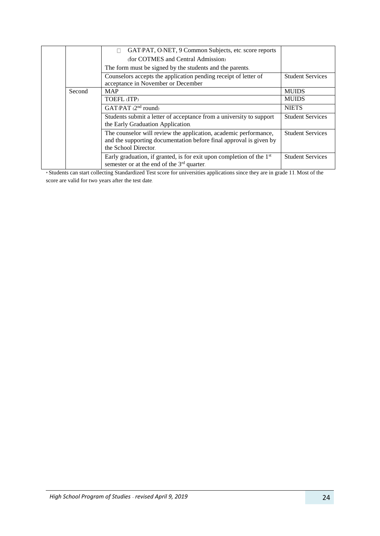|        | GAT/PAT, O-NET, 9 Common Subjects, etc. score reports<br>$\Box$<br>(for COTMES and Central Admission)                                                          |                         |
|--------|----------------------------------------------------------------------------------------------------------------------------------------------------------------|-------------------------|
|        | The form must be signed by the students and the parents.                                                                                                       |                         |
|        | Counselors accepts the application pending receipt of letter of<br>acceptance in November or December                                                          | <b>Student Services</b> |
| Second | <b>MAP</b>                                                                                                                                                     | <b>MUIDS</b>            |
|        | <b>TOEFL (ITP)</b>                                                                                                                                             | <b>MUIDS</b>            |
|        | $GAT/PATH$ ( $2nd$ round)                                                                                                                                      | <b>NIETS</b>            |
|        | Students submit a letter of acceptance from a university to support<br>the Early Graduation Application.                                                       | <b>Student Services</b> |
|        | The counselor will review the application, academic performance,<br>and the supporting documentation before final approval is given by<br>the School Director. | <b>Student Services</b> |
|        | Early graduation, if granted, is for exit upon completion of the $1st$<br>semester or at the end of the 3 <sup>rd</sup> quarter.                               | <b>Student Services</b> |

\* Students can start collecting Standardized Test score for universities applications since they are in grade 11. Most of the score are valid for two years after the test date.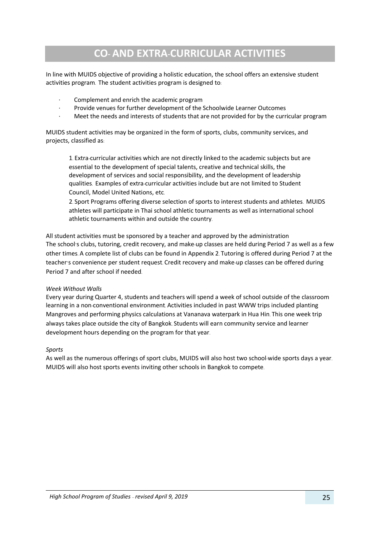# **CO- AND EXTRA-CURRICULAR ACTIVITIES**

<span id="page-24-0"></span>In line with MUIDS objective of providing a holistic education, the school offers an extensive student activities program. The student activities program is designed to:

- Complement and enrich the academic program
- Provide venues for further development of the Schoolwide Learner Outcomes
- Meet the needs and interests of students that are not provided for by the curricular program

MUIDS student activities may be organized in the form of sports, clubs, community services, and projects, classified as:

1. Extra-curricular activities which are not directly linked to the academic subjects but are essential to the development of special talents, creative and technical skills, the development of services and social responsibility, and the development of leadership qualities. Examples of extra-curricular activities include but are not limited to Student Council, Model United Nations, etc.

2. Sport Programs offering diverse selection of sports to interest students and athletes. MUIDS athletes will participate in Thai school athletic tournaments as well as international school athletic tournaments within and outside the country.

All student activities must be sponsored by a teacher and approved by the administration The school's clubs, tutoring, credit recovery, and make-up classes are held during Period 7 as well as a few other times. A complete list of clubs can be found in Appendix 2. Tutoring is offered during Period 7 at the teacher's convenience per student request. Credit recovery and make-up classes can be offered during Period 7 and after school if needed.

#### *Week Without Walls*

Every year during Quarter 4, students and teachers will spend a week of school outside of the classroom learning in a non-conventional environment. Activities included in past WWW trips included planting Mangroves and performing physics calculations at Vananava waterpark in Hua Hin. This one week trip always takes place outside the city of Bangkok. Students will earn community service and learner development hours depending on the program for that year.

#### *Sports*

As well as the numerous offerings of sport clubs, MUIDS will also host two school-wide sports days a year. MUIDS will also host sports events inviting other schools in Bangkok to compete.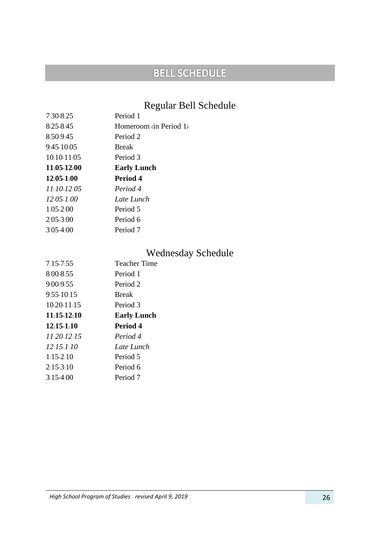# **BELL SCHEDULE**

# Regular Bell Schedule

| $7:30-8:25$    | Period 1               |
|----------------|------------------------|
| 8:25-8:45      | Homeroom (in Period 1) |
| 8:50-9:45      | Period 2               |
| 9:45-10:05     | <b>Break</b>           |
| 10:10-11:05    | Period 3               |
| 11:05 12:00    | <b>Early Lunch</b>     |
| 12:05-1:00     | Period 4               |
| 11:10-12:05    | Period 4               |
| $12.05 - 1.00$ | Late Lunch             |
|                |                        |
| $1:05-2:00$    | Period 5               |
| 2:05-3:00      | Period 6               |

# Wednesday Schedule

| 7:15.7:55       | <b>Teacher Time</b> |
|-----------------|---------------------|
| 8:00-8:55       | Period 1            |
| 9:00-9:55       | Period 2            |
| 9:55-10:15      | <b>Break</b>        |
| 10:20-11:15     | Period 3            |
| $11.15 - 12.10$ | <b>Early Lunch</b>  |
|                 |                     |
| $12:15-1:10$    | Period 4            |
| $11.20 - 12.15$ | Period 4            |
| $12:15-1:10$    | Late Lunch          |
| $1:15-2:10$     | Period 5            |
| $2:15-3:10$     | Period 6            |
| $3:15-4:00$     | Period 7            |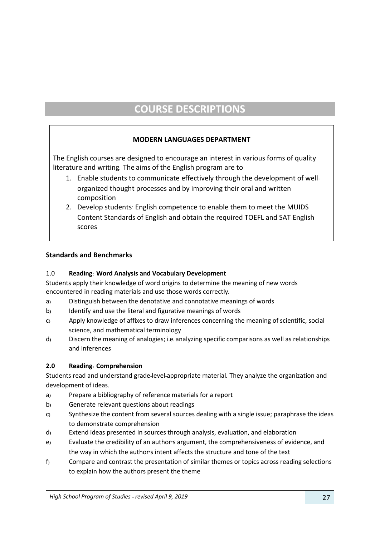# **COURSE DESCRIPTIONS**

# **MODERN LANGUAGES DEPARTMENT**

<span id="page-26-1"></span><span id="page-26-0"></span>The English courses are designed to encourage an interest in various forms of quality literature and writing. The aims of the English program are to

- 1. Enable students to communicate effectively through the development of wellorganized thought processes and by improving their oral and written composition
- 2. Develop students' English competence to enable them to meet the MUIDS Content Standards of English and obtain the required TOEFL and SAT English scores

#### **Standards and Benchmarks**

#### 1.0 **Reading: Word Analysis and Vocabulary Development**

Students apply their knowledge of word origins to determine the meaning of new words encountered in reading materials and use those words correctly**.**

- a**)** Distinguish between the denotative and connotative meanings of words
- b**)** Identify and use the literal and figurative meanings of words
- c**)** Apply knowledge of affixes to draw inferences concerning the meaning of scientific, social science, and mathematical terminology
- d**)** Discern the meaning of analogies; i**.**e**.** analyzing specific comparisons as well as relationships and inferences

#### **2.0 Reading: Comprehension**

Students read and understand grade**-**level**-**appropriate material**.** They analyze the organization and development of ideas**.**

- a**)** Prepare a bibliography of reference materials for a report
- b**)** Generate relevant questions about readings
- c**)** Synthesize the content from several sources dealing with a single issue; paraphrase the ideas to demonstrate comprehension
- d**)** Extend ideas presented in sources through analysis, evaluation, and elaboration
- e**)** Evaluate the credibility of an author**'**s argument, the comprehensiveness of evidence, and the way in which the author**'**s intent affects the structure and tone of the text
- f**)** Compare and contrast the presentation of similar themes or topics across reading selections to explain how the authors present the theme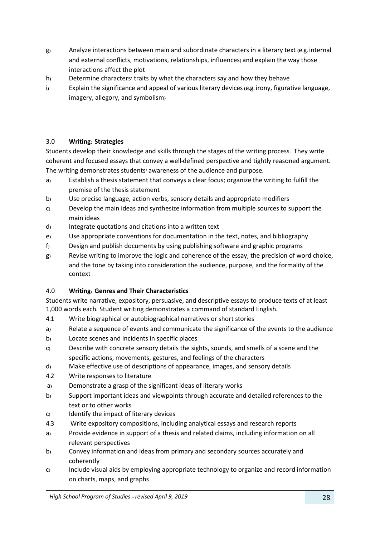- g**)** Analyze interactions between main and subordinate characters in a literary text **(**e**.**g**.** internal and external conflicts, motivations, relationships, influences**)** and explain the way those interactions affect the plot
- h**)** Determine characters**'** traits by what the characters say and how they behave
- i**)** Explain the significance and appeal of various literary devices**(**e**.**g**.** irony, figurative language, imagery, allegory, and symbolism**)**

## 3.0 **Writing: Strategies**

Students develop their knowledge and skills through the stages of the writing process**.** They write coherent and focused essays that convey a well**-**defined perspective and tightly reasoned argument**.**  The writing demonstrates students**'** awareness of the audience and purpose**.** 

- a**)** Establish a thesis statement that conveys a clear focus; organize the writing to fulfill the premise of the thesis statement
- b**)** Use precise language, action verbs, sensory details and appropriate modifiers
- c**)** Develop the main ideas and synthesize information from multiple sources to support the main ideas
- d**)** Integrate quotations and citations into a written text
- e**)** Use appropriate conventions for documentation in the text, notes, and bibliography
- f**)** Design and publish documents by using publishing software and graphic programs
- g**)** Revise writing to improve the logic and coherence of the essay, the precision of word choice, and the tone by taking into consideration the audience, purpose, and the formality of the context

#### 4.0 **Writing: Genres and Their Characteristics**

Students write narrative, expository, persuasive, and descriptive essays to produce texts of at least 1,000 words each**.** Student writing demonstrates a command of standard English**.**

- 4**.**1 Write biographical or autobiographical narratives or short stories
- a**)** Relate a sequence of events and communicate the significance of the events to the audience
- b**)** Locate scenes and incidents in specific places
- c**)** Describe with concrete sensory details the sights, sounds, and smells of a scene and the specific actions, movements, gestures, and feelings of the characters
- d**)** Make effective use of descriptions of appearance, images, and sensory details
- 4**.**2 Write responses to literature
- a**)** Demonstrate a grasp of the significant ideas of literary works
- b**)** Support important ideas and viewpoints through accurate and detailed references to the text or to other works
- c**)** Identify the impact of literary devices
- 4**.**3Write expository compositions, including analytical essays and research reports
- a**)** Provide evidence in support of a thesis and related claims, including information on all relevant perspectives
- b**)** Convey information and ideas from primary and secondary sources accurately and coherently
- c**)** Include visual aids by employing appropriate technology to organize and record information on charts, maps, and graphs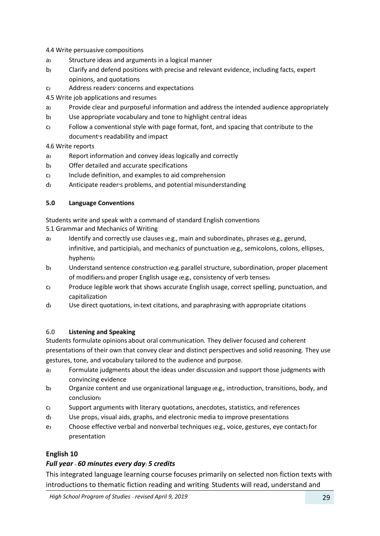4**.**4 Write persuasive compositions

- a**)** Structure ideas and arguments in a logical manner
- b**)** Clarify and defend positions with precise and relevant evidence, including facts, expert opinions, and quotations
- c**)** Address readers**'** concerns and expectations
- 4**.**5 Write job applications and resumes
- a**)** Provide clear and purposeful information and address the intended audience appropriately
- b**)** Use appropriate vocabulary and tone to highlight central ideas
- c**)** Follow a conventional style with page format, font, and spacing that contribute to the document**'**s readability and impact

4**.**6 Write reports

- a**)** Report information and convey ideas logically and correctly
- b**)** Offer detailed and accurate specifications
- c**)** Include definition, and examples to aid comprehension
- d**)** Anticipate reader**'**s problems, and potential misunderstanding

#### **5.0 Language Conventions**

Students write and speak with a command of standard English conventions 5**.**1 Grammar and Mechanics of Writing

- a**)** Identify and correctly use clauses **(**e**.**g**.**, main and subordinate**)**, phrases **(**e**.**g**.**, gerund, infinitive, and participial**)**, and mechanics of punctuation **(**e**.**g**.**, semicolons, colons, ellipses, hyphens**)**
- b**)** Understand sentence construction **(**e**.**g**.** parallel structure, subordination, proper placement of modifiers**)** and proper English usage **(**e**.**g**.**, consistency of verb tenses**)**
- c**)** Produce legible work that shows accurate English usage, correct spelling, punctuation, and capitalization
- d**)** Use direct quotations, in**-**text citations, and paraphrasing with appropriate citations

#### 6.0 **Listening and Speaking**

Students formulate opinions about oral communication**.** They deliver focused and coherent presentations of their own that convey clear and distinct perspectives and solid reasoning**.** They use gestures, tone, and vocabulary tailored to the audience and purpose**.**

- a**)** Formulate judgments about the ideas under discussion and support those judgments with convincing evidence
- b**)** Organize content and use organizational language **(**e**.**g**.**, introduction, transitions, body, and conclusion**)**
- c**)** Support arguments with literary quotations, anecdotes, statistics, and references
- d**)** Use props, visual aids, graphs, and electronic media to improve presentations
- e**)** Choose effective verbal and nonverbal techniques **(**e**.**g**.**, voice, gestures, eye contact**)** for presentation

# **English 10**

# *Full year - 60 minutes every day: 5 credits*

This integrated language learning course focuses primarily on selected non-fiction texts with introductions to thematic fiction reading and writing. Students will read, understand and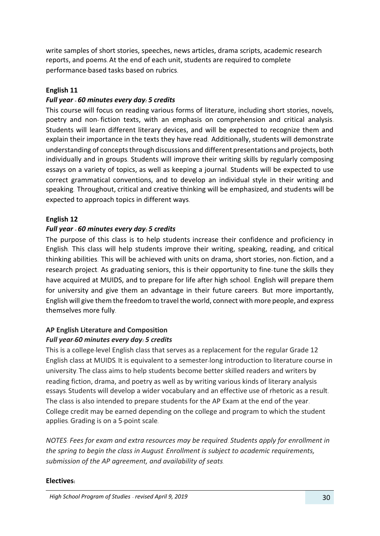write samples of short stories, speeches, news articles, drama scripts, academic research reports, and poems. At the end of each unit, students are required to complete performance-based tasks based on rubrics.

## **English 11**

## *Full year - 60 minutes every day: 5 credits*

This course will focus on reading various forms of literature, including short stories, novels, poetry and non- fiction texts, with an emphasis on comprehension and critical analysis. Students will learn different literary devices, and will be expected to recognize them and explain their importance in the texts they have read. Additionally, students will demonstrate understanding of concepts through discussions and different presentations and projects, both individually and in groups. Students will improve their writing skills by regularly composing essays on a variety of topics, as well as keeping a journal. Students will be expected to use correct grammatical conventions, and to develop an individual style in their writing and speaking. Throughout, critical and creative thinking will be emphasized, and students will be expected to approach topics in different ways.

## **English 12**

## *Full year - 60 minutes every day: 5 credits*

The purpose of this class is to help students increase their confidence and proficiency in English. This class will help students improve their writing, speaking, reading, and critical thinking abilities. This will be achieved with units on drama, short stories, non-fiction, and a research project. As graduating seniors, this is their opportunity to fine-tune the skills they have acquired at MUIDS, and to prepare for life after high school. English will prepare them for university and give them an advantage in their future careers. But more importantly, English will give them the freedom to travel the world, connect with more people, and express themselves more fully.

#### **AP English Literature and Composition**

#### *Full year-60 minutes every day: 5 credits*

This is a college-level English class that serves as a replacement for the regular Grade 12 English class at MUIDS. It is equivalent to a semester-long introduction to literature course in university. The class aims to help students become better skilled readers and writers by reading fiction, drama, and poetry as well as by writing various kinds of literary analysis essays. Students will develop a wider vocabulary and an effective use of rhetoric as a result. The class is also intended to prepare students for the AP Exam at the end of the year. College credit may be earned depending on the college and program to which the student applies. Grading is on a 5-point scale.

*NOTES: Fees for exam and extra resources may be required. Students apply for enrollment in the spring to begin the class in August. Enrollment is subject to academic requirements, submission of the AP agreement, and availability of seats.*

#### **Electives:**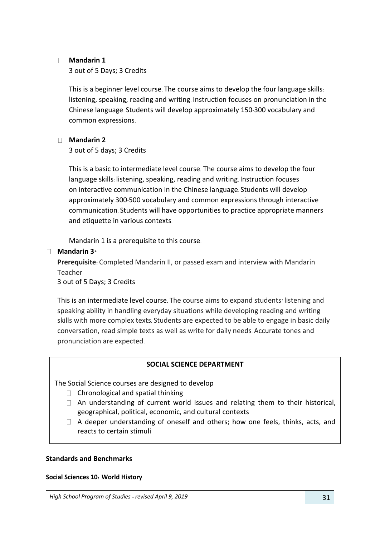#### **Mandarin 1**

3 out of 5 Days; 3 Credits

This is a beginner level course. The course aims to develop the four language skills: listening, speaking, reading and writing. Instruction focuses on pronunciation in the Chinese language. Students will develop approximately 150-300 vocabulary and common expressions.

#### **Mandarin 2**

3 out of 5 days; 3 Credits

This is a basic to intermediate level course. The course aims to develop the four language skills: listening, speaking, reading and writing. Instruction focuses on interactive communication in the Chinese language. Students will develop approximately 300-500 vocabulary and common expressions through interactive communication. Students will have opportunities to practice appropriate manners and etiquette in various contexts.

Mandarin 1 is a prerequisite to this course.

#### **Mandarin 3\***

**Prerequisite:** Completed Mandarin II, or passed exam and interview with Mandarin Teacher

3 out of 5 Days; 3 Credits

This is an intermediate level course. The course aims to expand students' listening and speaking ability in handling everyday situations while developing reading and writing skills with more complex texts. Students are expected to be able to engage in basic daily conversation, read simple texts as well as write for daily needs. Accurate tones and pronunciation are expected.

#### **SOCIAL SCIENCE DEPARTMENT**

The Social Science courses are designed to develop

- $\Box$  Chronological and spatial thinking
- $\Box$  An understanding of current world issues and relating them to their historical, geographical, political, economic, and cultural contexts
- $\Box$  A deeper understanding of oneself and others; how one feels, thinks, acts, and reacts to certain stimuli

#### **Standards and Benchmarks**

#### **Social Sciences 10: World History**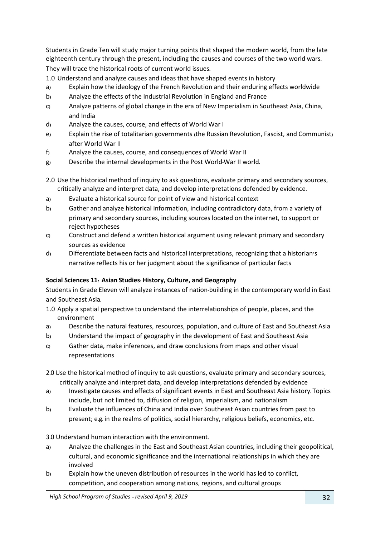Students in Grade Ten will study major turning points that shaped the modern world, from the late eighteenth century through the present, including the causes and courses of the two world wars**.**  They will trace the historical roots of current world issues**.**

1.0 Understand and analyze causes and ideas that have shaped events in history

- a**)** Explain how the ideology of the French Revolution and their enduring effects worldwide
- b**)** Analyze the effects of the Industrial Revolution in England and France
- c**)** Analyze patterns of global change in the era of New Imperialism in Southeast Asia, China, and India
- d**)** Analyze the causes, course, and effects of World War I
- e**)** Explain the rise of totalitarian governments **(**the Russian Revolution, Fascist, and Communist**)**  after World War II
- f**)** Analyze the causes, course, and consequences of World War II
- g**)** Describe the internal developments in the Post World**-**War II world**.**
- 2.0 Use the historical method of inquiry to ask questions, evaluate primary and secondary sources, critically analyze and interpret data, and develop interpretations defended by evidence**.**
- a**)** Evaluate a historical source for point of view and historical context
- b**)** Gather and analyze historical information, including contradictory data, from a variety of primary and secondary sources, including sources located on the internet, to support or reject hypotheses
- c**)** Construct and defend a written historical argument using relevant primary and secondary sources as evidence
- d**)** Differentiate between facts and historical interpretations, recognizing that a historian**'**s narrative reflects his or her judgment about the significance of particular facts

#### **Social Sciences 11: Asian Studies: History, Culture, and Geography**

Students in Grade Eleven will analyze instances of nation**-**building in the contemporary world in East and Southeast Asia**.**

- 1.0 Apply a spatial perspective to understand the interrelationships of people, places, and the environment
- a**)** Describe the natural features, resources, population, and culture of East and Southeast Asia
- b**)** Understand the impact of geography in the development of East and Southeast Asia
- c**)** Gather data, make inferences, and draw conclusions from maps and other visual representations

2**.**0 Use the historical method of inquiry to ask questions, evaluate primary and secondary sources, critically analyze and interpret data, and develop interpretations defended by evidence

- a**)** Investigate causes and effects of significant events in East and Southeast Asia history**.** Topics include, but not limited to, diffusion of religion, imperialism, and nationalism
- b**)** Evaluate the influences of China and India over Southeast Asian countries from past to present; e**.**g**.** in the realms of politics, social hierarchy, religious beliefs, economics, etc**.**

3**.**0 Understand human interaction with the environment**.**

- a**)** Analyze the challenges in the East and Southeast Asian countries, including their geopolitical, cultural, and economic significance and the international relationships in which they are involved
- b**)** Explain how the uneven distribution of resources in the world has led to conflict, competition, and cooperation among nations, regions, and cultural groups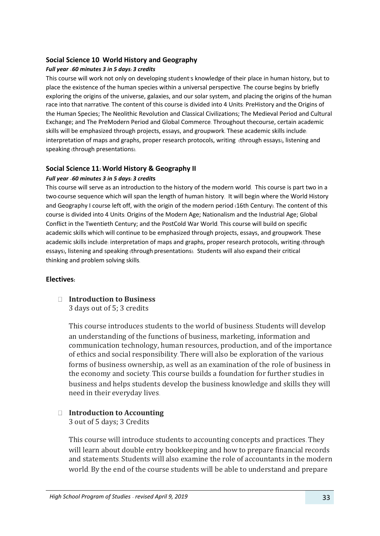#### **Social Science 10**: **World History and Geography**

#### *Full year –60 minutes 3 in 5 days: 3 credits*

This course will work not only on developing student's knowledge of their place in human history, but to place the existence of the human species within a universal perspective. The course begins by briefly exploring the origins of the universe, galaxies, and our solar system, and placing the origins of the human race into that narrative. The content of this course is divided into 4 Units: PreHistory and the Origins of the Human Species; The Neolithic Revolution and Classical Civilizations; The Medieval Period and Cultural Exchange; and The PreModern Period and Global Commerce. Throughout thecourse, certain academic skills will be emphasized through projects, essays, and groupwork. These academic skills include: interpretation of maps and graphs, proper research protocols, writing (through essays), listening and speaking (through presentations).

#### **Social Science 11: World History & Geography II**

#### *Full year –60 minutes 3 in 5 days: 3 credit***s**

This course will serve as an introduction to the history of the modern world. This course is part two in a two-course sequence which will span the length of human history. It will begin where the World History and Geography I course left off, with the origin of the modern period (16th Century). The content of this course is divided into 4 Units: Origins of the Modern Age; Nationalism and the Industrial Age; Global Conflict in the Twentieth Century; and the PostCold War World. This course will build on specific academic skills which will continue to be emphasized through projects, essays, and groupwork. These academic skills include: interpretation of maps and graphs, proper research protocols, writing (through essays), listening and speaking (through presentations). Students will also expand their critical thinking and problem solving skills.

#### **Electives:**

**Introduction to Business** 3 days out of 5; 3 credits

> This course introduces students to the world of business. Students will develop an understanding of the functions of business, marketing, information and communication technology, human resources, production, and of the importance of ethics and social responsibility. There will also be exploration of the various forms of business ownership, as well as an examination of the role of business in the economy and society. This course builds a foundation for further studies in business and helps students develop the business knowledge and skills they will need in their everyday lives.

# **Introduction to Accounting**

3 out of 5 days; 3 Credits

This course will introduce students to accounting concepts and practices. They will learn about double entry bookkeeping and how to prepare financial records and statements. Students will also examine the role of accountants in the modern world. By the end of the course students will be able to understand and prepare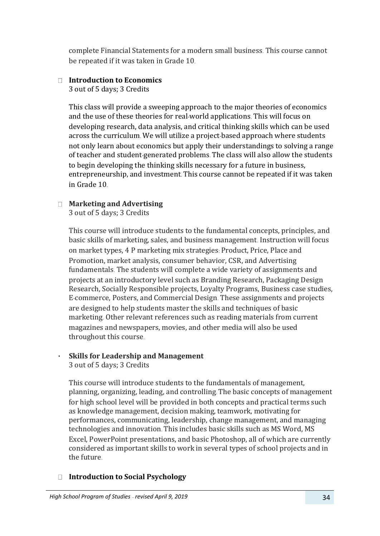complete Financial Statements for a modern small business. This course cannot be repeated if it was taken in Grade 10.

# **Introduction to Economics**

3 out of 5 days; 3 Credits

This class will provide a sweeping approach to the major theories of economics and the use of these theories for real-world applications. This will focus on developing research, data analysis, and critical thinking skills which can be used across the curriculum. We will utilize a project-based approach where students not only learn about economics but apply their understandings to solving a range of teacher and student-generated problems. The class will also allow the students to begin developing the thinking skills necessary for a future in business, entrepreneurship, and investment. This course cannot be repeated if it was taken in Grade 10.

# **Marketing and Advertising**

3 out of 5 days; 3 Credits

This course will introduce students to the fundamental concepts, principles, and basic skills of marketing, sales, and business management. Instruction will focus on market types, 4 P marketing mix strategies: Product, Price, Place and Promotion, market analysis, consumer behavior, CSR, and Advertising fundamentals. The students will complete a wide variety of assignments and projects at an introductory level such as Branding Research, Packaging Design Research, Socially Responsible projects, Loyalty Programs, Business case studies, E-commerce, Posters, and Commercial Design. These assignments and projects are designed to help students master the skills and techniques of basic marketing. Other relevant references such as reading materials from current magazines and newspapers, movies, and other media will also be used throughout this course.

#### **Skills for Leadership and Management**   $\mathbf{r}$  .

3 out of 5 days; 3 Credits

This course will introduce students to the fundamentals of management, planning, organizing, leading, and controlling. The basic concepts of management for high school level will be provided in both concepts and practical terms such as knowledge management, decision making, teamwork, motivating for performances, communicating, leadership, change management, and managing technologies and innovation. This includes basic skills such as MS Word, MS Excel, PowerPoint presentations, and basic Photoshop, all of which are currently considered as important skills to work in several types of school projects and in the future.

# **Introduction to Social Psychology**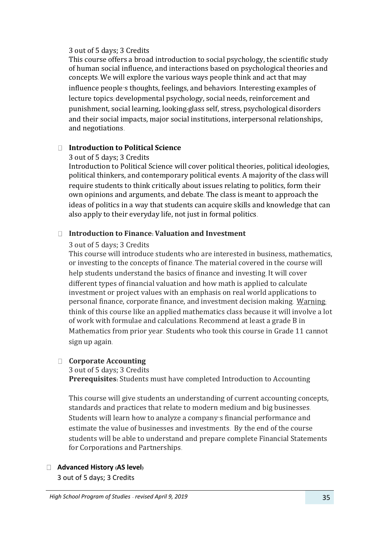#### 3 out of 5 days; 3 Credits

This course offers a broad introduction to social psychology, the scientific study of human social influence, and interactions based on psychological theories and concepts. We will explore the various ways people think and act that may influence people's thoughts, feelings, and behaviors. Interesting examples of lecture topics: developmental psychology, social needs, reinforcement and punishment, social learning, looking-glass self, stress, psychological disorders and their social impacts, major social institutions, interpersonal relationships, and negotiations.

## **Introduction to Political Science**

#### 3 out of 5 days; 3 Credits

Introduction to Political Science will cover political theories, political ideologies, political thinkers, and contemporary political events. A majority of the class will require students to think critically about issues relating to politics, form their own opinions and arguments, and debate. The class is meant to approach the ideas of politics in a way that students can acquire skills and knowledge that can also apply to their everyday life, not just in formal politics.

# **Introduction to Finance: Valuation and Investment**

#### 3 out of 5 days; 3 Credits

This course will introduce students who are interested in business, mathematics, or investing to the concepts of finance. The material covered in the course will help students understand the basics of finance and investing. It will cover different types of financial valuation and how math is applied to calculate investment or project values with an emphasis on real world applications to personal finance, corporate finance, and investment decision making. Warning: think of this course like an applied mathematics class because it will involve a lot of work with formulae and calculations. Recommend at least a grade B in Mathematics from prior year. Students who took this course in Grade 11 cannot sign up again.

#### **Corporate Accounting**

3 out of 5 days; 3 Credits

**Prerequisites:** Students must have completed Introduction to Accounting

This course will give students an understanding of current accounting concepts, standards and practices that relate to modern medium and big businesses. Students will learn how to analyze a company's financial performance and estimate the value of businesses and investments. By the end of the course students will be able to understand and prepare complete Financial Statements for Corporations and Partnerships.

#### **Advanced History (AS level)**

3 out of 5 days; 3 Credits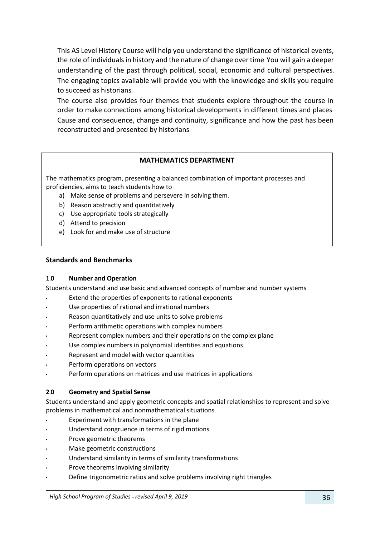This AS Level History Course will help you understand the significance of historical events, the role of individuals in history and the nature of change over time. You will gain a deeper understanding of the past through political, social, economic and cultural perspectives. The engaging topics available will provide you with the knowledge and skills you require to succeed as historians.

The course also provides four themes that students explore throughout the course in order to make connections among historical developments in different times and places: Cause and consequence, change and continuity, significance and how the past has been reconstructed and presented by historians.

#### **MATHEMATICS DEPARTMENT**

The mathematics program, presenting a balanced combination of important processes and proficiencies, aims to teach students how to

- a) Make sense of problems and persevere in solving them.
- b) Reason abstractly and quantitatively
- c) Use appropriate tools strategically.
- d) Attend to precision
- e) Look for and make use of structure

#### **Standards and Benchmarks**

#### **1.0 Number and Operation**

Students understand and use basic and advanced concepts of number and number systems.

- Extend the properties of exponents to rational exponents
- Use properties of rational and irrational numbers
- Reason quantitatively and use units to solve problems
- Perform arithmetic operations with complex numbers
- Represent complex numbers and their operations on the complex plane
- Use complex numbers in polynomial identities and equations
- Represent and model with vector quantities
- Perform operations on vectors
- Perform operations on matrices and use matrices in applications

#### **2.0 Geometry and Spatial Sense**

Students understand and apply geometric concepts and spatial relationships to represent and solve problems in mathematical and nonmathematical situations.

- Experiment with transformations in the plane
- Understand congruence in terms of rigid motions
- Prove geometric theorems
- Make geometric constructions
- Understand similarity in terms of similarity transformations
- Prove theorems involving similarity
- Define trigonometric ratios and solve problems involving right triangles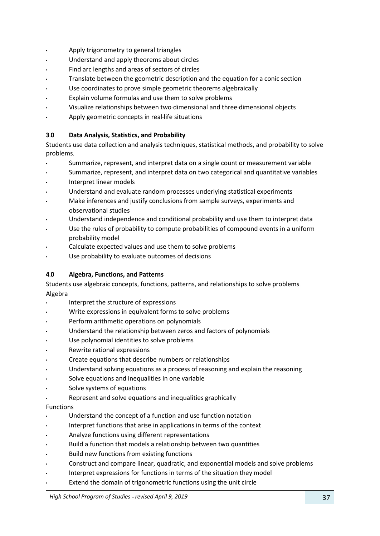- Apply trigonometry to general triangles
- Understand and apply theorems about circles
- Find arc lengths and areas of sectors of circles
- Translate between the geometric description and the equation for a conic section
- Use coordinates to prove simple geometric theorems algebraically
- Explain volume formulas and use them to solve problems
- Visualize relationships between two-dimensional and three-dimensional objects
- Apply geometric concepts in real-life situations

## **3.0 Data Analysis, Statistics, and Probability**

Students use data collection and analysis techniques, statistical methods, and probability to solve problems.

- Summarize, represent, and interpret data on a single count or measurement variable
- Summarize, represent, and interpret data on two categorical and quantitative variables
- Interpret linear models
- Understand and evaluate random processes underlying statistical experiments
- Make inferences and justify conclusions from sample surveys, experiments and observational studies
- Understand independence and conditional probability and use them to interpret data
- Use the rules of probability to compute probabilities of compound events in a uniform probability model
- Calculate expected values and use them to solve problems
- Use probability to evaluate outcomes of decisions

#### **4.0 Algebra, Functions, and Patterns**

Students use algebraic concepts, functions, patterns, and relationships to solve problems. Algebra

- Interpret the structure of expressions
- Write expressions in equivalent forms to solve problems
- Perform arithmetic operations on polynomials
- Understand the relationship between zeros and factors of polynomials
- Use polynomial identities to solve problems
- Rewrite rational expressions
- Create equations that describe numbers or relationships
- Understand solving equations as a process of reasoning and explain the reasoning
- Solve equations and inequalities in one variable
- Solve systems of equations
- Represent and solve equations and inequalities graphically

#### Functions

- Understand the concept of a function and use function notation
- Interpret functions that arise in applications in terms of the context
- Analyze functions using different representations
- Build a function that models a relationship between two quantities
- Build new functions from existing functions
- Construct and compare linear, quadratic, and exponential models and solve problems
- Interpret expressions for functions in terms of the situation they model
- Extend the domain of trigonometric functions using the unit circle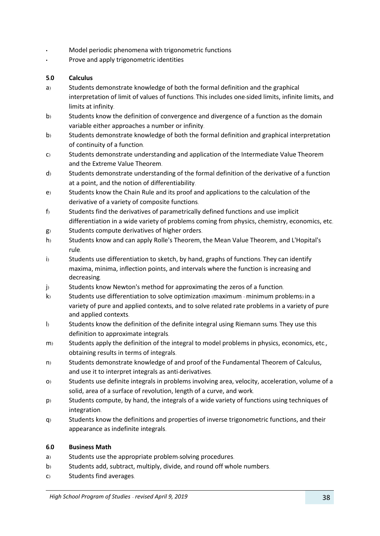- Model periodic phenomena with trigonometric functions
- Prove and apply trigonometric identities

## **5.0 Calculus**

- a) Students demonstrate knowledge of both the formal definition and the graphical interpretation of limit of values of functions. This includes one-sided limits, infinite limits, and limits at infinity.
- b) Students know the definition of convergence and divergence of a function as the domain variable either approaches a number or infinity.
- b) Students demonstrate knowledge of both the formal definition and graphical interpretation of continuity of a function.
- c) Students demonstrate understanding and application of the Intermediate Value Theorem and the Extreme Value Theorem.
- d) Students demonstrate understanding of the formal definition of the derivative of a function at a point, and the notion of differentiability.
- e) Students know the Chain Rule and its proof and applications to the calculation of the derivative of a variety of composite functions.
- f) Students find the derivatives of parametrically defined functions and use implicit differentiation in a wide variety of problems coming from physics, chemistry, economics, etc.
- g) Students compute derivatives of higher orders.
- h) Students know and can apply Rolle's Theorem, the Mean Value Theorem, and L'Hopital's rule.
- i) Students use differentiation to sketch, by hand, graphs of functions. They can identify maxima, minima, inflection points, and intervals where the function is increasing and decreasing.
- j) Students know Newton's method for approximating the zeros of a function.
- k) Students use differentiation to solve optimization (maximum minimum problems) in a variety of pure and applied contexts, and to solve related rate problems in a variety of pure and applied contexts.
- l) Students know the definition of the definite integral using Riemann sums. They use this definition to approximate integrals.
- m) Students apply the definition of the integral to model problems in physics, economics, etc., obtaining results in terms of integrals.
- n) Students demonstrate knowledge of and proof of the Fundamental Theorem of Calculus, and use it to interpret integrals as anti-derivatives.
- o) Students use definite integrals in problems involving area, velocity, acceleration, volume of a solid, area of a surface of revolution, length of a curve, and work.
- p) Students compute, by hand, the integrals of a wide variety of functions using techniques of integration.
- q) Students know the definitions and properties of inverse trigonometric functions, and their appearance as indefinite integrals.

#### **6.0 Business Math**

- a) Students use the appropriate problem-solving procedures.
- b) Students add, subtract, multiply, divide, and round off whole numbers.
- c) Students find averages.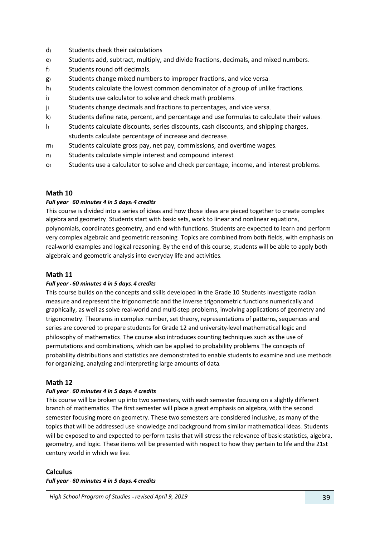- d) Students check their calculations.
- e) Students add, subtract, multiply, and divide fractions, decimals, and mixed numbers.
- f) Students round off decimals.
- g) Students change mixed numbers to improper fractions, and vice versa.
- h) Students calculate the lowest common denominator of a group of unlike fractions.
- i) Students use calculator to solve and check math problems.
- j) Students change decimals and fractions to percentages, and vice versa.
- k) Students define rate, percent, and percentage and use formulas to calculate their values.
- l) Students calculate discounts, series discounts, cash discounts, and shipping charges, students calculate percentage of increase and decrease.
- m) Students calculate gross pay, net pay, commissions, and overtime wages.
- n) Students calculate simple interest and compound interest.
- o) Students use a calculator to solve and check percentage, income, and interest problems.

#### **Math 10**

#### *Full year - 60 minutes 4 in 5 days: 4 credits*

This course is divided into a series of ideas and how those ideas are pieced together to create complex algebra and geometry. Students start with basic sets, work to linear and nonlinear equations, polynomials, coordinates geometry, and end with functions. Students are expected to learn and perform very complex algebraic and geometric reasoning. Topics are combined from both fields, with emphasis on real-world examples and logical reasoning. By the end of this course, students will be able to apply both algebraic and geometric analysis into everyday life and activities.

#### **Math 11**

#### *Full year - 60 minutes 4 in 5 days: 4 credits*

This course builds on the concepts and skills developed in the Grade 10. Students investigate radian measure and represent the trigonometric and the inverse trigonometric functions numerically and graphically, as well as solve real-world and multi-step problems, involving applications of geometry and trigonometry. Theorems in complex number, set theory, representations of patterns, sequences and series are covered to prepare students for Grade 12 and university-level mathematical logic and philosophy of mathematics. The course also introduces counting techniques such as the use of permutations and combinations, which can be applied to probability problems. The concepts of probability distributions and statistics are demonstrated to enable students to examine and use methods for organizing, analyzing and interpreting large amounts of data.

#### **Math 12**

#### *Full year - 60 minutes 4 in 5 days: 4 credits*

This course will be broken up into two semesters, with each semester focusing on a slightly different branch of mathematics. The first semester will place a great emphasis on algebra, with the second semester focusing more on geometry. These two semesters are considered inclusive, as many of the topics that will be addressed use knowledge and background from similar mathematical ideas. Students will be exposed to and expected to perform tasks that will stress the relevance of basic statistics, algebra, geometry, and logic. These items will be presented with respect to how they pertain to life and the 21st century world in which we live.

#### **Calculus**

*Full year - 60 minutes 4 in 5 days: 4 credits*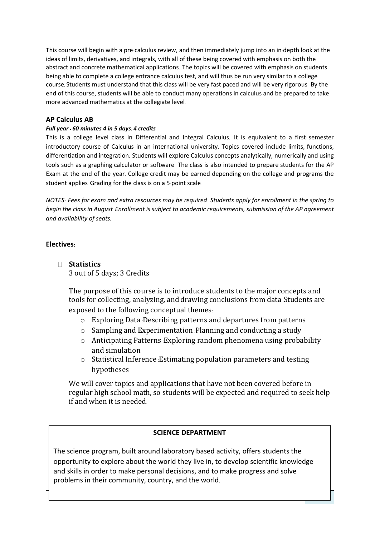This course will begin with a pre-calculus review, and then immediately jump into an in-depth look at the ideas of limits, derivatives, and integrals, with all of these being covered with emphasis on both the abstract and concrete mathematical applications. The topics will be covered with emphasis on students being able to complete a college entrance calculus test, and will thus be run very similar to a college course. Students must understand that this class will be very fast paced and will be very rigorous. By the end of this course, students will be able to conduct many operations in calculus and be prepared to take more advanced mathematics at the collegiate level.

## **AP Calculus AB**

#### *Full year - 60 minutes 4 in 5 days: 4 credits*

This is a college level class in Differential and Integral Calculus. It is equivalent to a first- semester introductory course of Calculus in an international university. Topics covered include limits, functions, differentiation and integration. Students will explore Calculus concepts analytically, numerically and using tools such as a graphing calculator or software. The class is also intended to prepare students for the AP Exam at the end of the year. College credit may be earned depending on the college and programs the student applies. Grading for the class is on a 5-point scale.

*NOTES: Fees for exam and extra resources may be required. Students apply for enrollment in the spring to begin the class in August. Enrollment is subject to academic requirements, submission of the AP agreement and availability of seats.*

## **Electives:**

**Statistics**

3 out of 5 days; 3 Credits

The purpose of this course is to introduce students to the major concepts and tools for collecting, analyzing, and drawing conclusions from data .Students are exposed to the following conceptual themes:

- o Exploring Data :Describing patterns and departures from patterns
- o Sampling and Experimentation :Planning and conducting a study
- o Anticipating Patterns :Exploring random phenomena using probability and simulation
- o Statistical Inference :Estimating population parameters and testing hypotheses

We will cover topics and applications that have not been covered before in regular high school math, so students will be expected and required to seek help if and when it is needed.

#### **SCIENCE DEPARTMENT**

The science program, built around laboratory-based activity, offers students the opportunity to explore about the world they live in, to develop scientific knowledge and skills in order to make personal decisions, and to make progress and solve problems in their community, country, and the world.

*High School Program of Studies –revised April 9, 2019* 40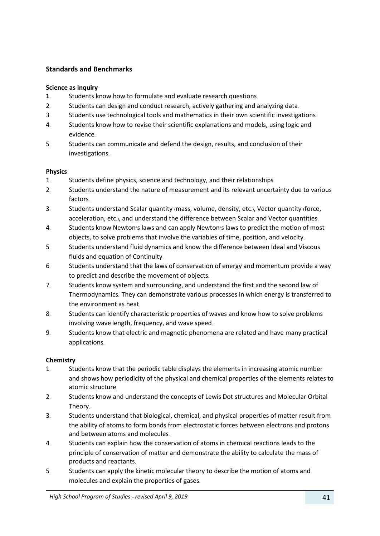## **Standards and Benchmarks**

#### **Science as Inquiry**

- **1.** Students know how to formulate and evaluate research questions.
- 2. Students can design and conduct research, actively gathering and analyzing data.
- 3. Students use technological tools and mathematics in their own scientific investigations.
- 4. Students know how to revise their scientific explanations and models, using logic and evidence.
- 5. Students can communicate and defend the design, results, and conclusion of their investigations.

#### **Physics**

- 1. Students define physics, science and technology, and their relationships.
- 2. Students understand the nature of measurement and its relevant uncertainty due to various factors.
- 3. Students understand Scalar quantity (mass, volume, density, etc.), Vector quantity (force, acceleration, etc.), and understand the difference between Scalar and Vector quantities.
- 4. Students know Newton's laws and can apply Newton's laws to predict the motion of most objects, to solve problems that involve the variables of time, position, and velocity.
- 5. Students understand fluid dynamics and know the difference between Ideal and Viscous fluids and equation of Continuity.
- 6. Students understand that the laws of conservation of energy and momentum provide a way to predict and describe the movement of objects.
- 7. Students know system and surrounding, and understand the first and the second law of Thermodynamics. They can demonstrate various processes in which energy is transferred to the environment as heat.
- 8. Students can identify characteristic properties of waves and know how to solve problems involving wave length, frequency, and wave speed.
- 9. Students know that electric and magnetic phenomena are related and have many practical applications.

## **Chemistry**

- 1. Students know that the periodic table displays the elements in increasing atomic number and shows how periodicity of the physical and chemical properties of the elements relates to atomic structure.
- 2. Students know and understand the concepts of Lewis Dot structures and Molecular Orbital Theory.
- 3. Students understand that biological, chemical, and physical properties of matter result from the ability of atoms to form bonds from electrostatic forces between electrons and protons and between atoms and molecules.
- 4. Students can explain how the conservation of atoms in chemical reactions leads to the principle of conservation of matter and demonstrate the ability to calculate the mass of products and reactants.
- 5. Students can apply the kinetic molecular theory to describe the motion of atoms and molecules and explain the properties of gases.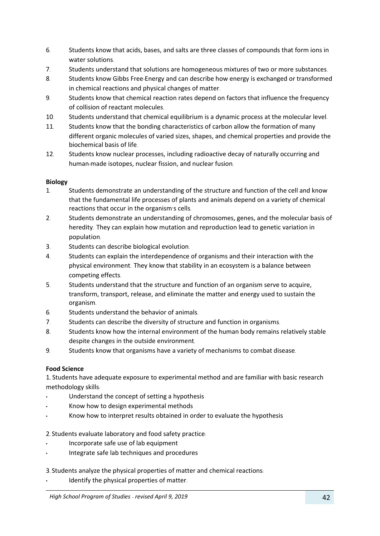- 6. Students know that acids, bases, and salts are three classes of compounds that form ions in water solutions.
- 7. Students understand that solutions are homogeneous mixtures of two or more substances.
- 8. Students know Gibbs Free-Energy and can describe how energy is exchanged or transformed in chemical reactions and physical changes of matter.
- 9. Students know that chemical reaction rates depend on factors that influence the frequency of collision of reactant molecules.
- 10. Students understand that chemical equilibrium is a dynamic process at the molecular level.
- 11. Students know that the bonding characteristics of carbon allow the formation of many different organic molecules of varied sizes, shapes, and chemical properties and provide the biochemical basis of life.
- 12. Students know nuclear processes, including radioactive decay of naturally occurring and human-made isotopes, nuclear fission, and nuclear fusion.

## **Biology**

- 1. Students demonstrate an understanding of the structure and function of the cell and know that the fundamental life processes of plants and animals depend on a variety of chemical reactions that occur in the organism's cells.
- 2. Students demonstrate an understanding of chromosomes, genes, and the molecular basis of heredity. They can explain how mutation and reproduction lead to genetic variation in population.
- 3. Students can describe biological evolution.
- 4. Students can explain the interdependence of organisms and their interaction with the physical environment. They know that stability in an ecosystem is a balance between competing effects.
- 5. Students understand that the structure and function of an organism serve to acquire, transform, transport, release, and eliminate the matter and energy used to sustain the organism.
- 6. Students understand the behavior of animals.
- 7. Students can describe the diversity of structure and function in organisms.
- 8. Students know how the internal environment of the human body remains relatively stable despite changes in the outside environment.
- 9. Students know that organisms have a variety of mechanisms to combat disease.

## **Food Science**

1**.** Students have adequate exposure to experimental method and are familiar with basic research methodology skills:

- Understand the concept of setting a hypothesis
- Know how to design experimental methods
- Know how to interpret results obtained in order to evaluate the hypothesis

#### 2. Students evaluate laboratory and food safety practice:

- Incorporate safe use of lab equipment
- Integrate safe lab techniques and procedures

#### 3. Students analyze the physical properties of matter and chemical reactions:

Identify the physical properties of matter.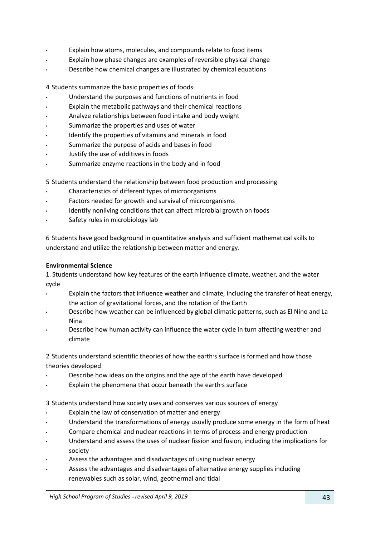- Explain how atoms, molecules, and compounds relate to food items
- Explain how phase changes are examples of reversible physical change
- Describe how chemical changes are illustrated by chemical equations

4. Students summarize the basic properties of foods:

- Understand the purposes and functions of nutrients in food
- Explain the metabolic pathways and their chemical reactions
- Analyze relationships between food intake and body weight
- Summarize the properties and uses of water
- Identify the properties of vitamins and minerals in food
- Summarize the purpose of acids and bases in food
- Justify the use of additives in foods
- Summarize enzyme reactions in the body and in food
- 5. Students understand the relationship between food production and processing:
- Characteristics of different types of microorganisms
- Factors needed for growth and survival of microorganisms
- Identify nonliving conditions that can affect microbial growth on foods
- Safety rules in microbiology lab

6. Students have good background in quantitative analysis and sufficient mathematical skills to understand and utilize the relationship between matter and energy.

#### **Environmental Science**

**1.** Students understand how key features of the earth influence climate, weather, and the water cycle.

- Explain the factors that influence weather and climate, including the transfer of heat energy, the action of gravitational forces, and the rotation of the Earth
- Describe how weather can be influenced by global climatic patterns, such as El Nino and La Nina
- Describe how human activity can influence the water cycle in turn affecting weather and climate

2. Students understand scientific theories of how the earth's surface is formed and how those theories developed.

- Describe how ideas on the origins and the age of the earth have developed
- Explain the phenomena that occur beneath the earth's surface

3. Students understand how society uses and conserves various sources of energy.

- Explain the law of conservation of matter and energy
- Understand the transformations of energy usually produce some energy in the form of heat
- Compare chemical and nuclear reactions in terms of process and energy production
- Understand and assess the uses of nuclear fission and fusion, including the implications for society
- Assess the advantages and disadvantages of using nuclear energy
- Assess the advantages and disadvantages of alternative energy supplies including renewables such as solar, wind, geothermal and tidal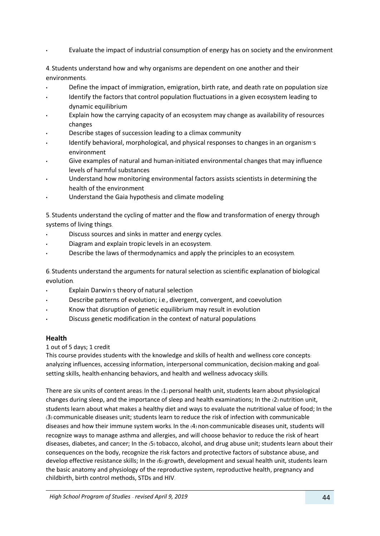• Evaluate the impact of industrial consumption of energy has on society and the environment

4. Students understand how and why organisms are dependent on one another and their environments.

- Define the impact of immigration, emigration, birth rate, and death rate on population size
- Identify the factors that control population fluctuations in a given ecosystem leading to dynamic equilibrium
- Explain how the carrying capacity of an ecosystem may change as availability of resources changes
- Describe stages of succession leading to a climax community
- Identify behavioral, morphological, and physical responses to changes in an organism's environment
- Give examples of natural and human-initiated environmental changes that may influence levels of harmful substances
- Understand how monitoring environmental factors assists scientists in determining the health of the environment
- Understand the Gaia hypothesis and climate modeling

5. Students understand the cycling of matter and the flow and transformation of energy through systems of living things.

- Discuss sources and sinks in matter and energy cycles.
- Diagram and explain tropic levels in an ecosystem.
- Describe the laws of thermodynamics and apply the principles to an ecosystem.

6. Students understand the arguments for natural selection as scientific explanation of biological evolution.

- Explain Darwin's theory of natural selection
- Describe patterns of evolution; i.e., divergent, convergent, and coevolution
- Know that disruption of genetic equilibrium may result in evolution
- Discuss genetic modification in the context of natural populations

#### **Health**

#### 1 out of 5 days; 1 credit

This course provides students with the knowledge and skills of health and wellness core concepts: analyzing influences, accessing information, interpersonal communication, decision-making and goalsetting skills, health-enhancing behaviors, and health and wellness advocacy skills.

There are six units of content areas: In the (1) personal health unit, students learn about physiological changes during sleep, and the importance of sleep and health examinations; In the (2) nutrition unit, students learn about what makes a healthy diet and ways to evaluate the nutritional value of food; In the (3) communicable diseases unit; students learn to reduce the risk of infection with communicable diseases and how their immune system works. In the (4) non-communicable diseases unit, students will recognize ways to manage asthma and allergies, and will choose behavior to reduce the risk of heart diseases, diabetes, and cancer; In the (5) tobacco, alcohol, and drug abuse unit; students learn about their consequences on the body, recognize the risk factors and protective factors of substance abuse, and develop effective resistance skills; In the (6) growth, development and sexual health unit, students learn the basic anatomy and physiology of the reproductive system, reproductive health, pregnancy and childbirth, birth control methods, STDs and HIV.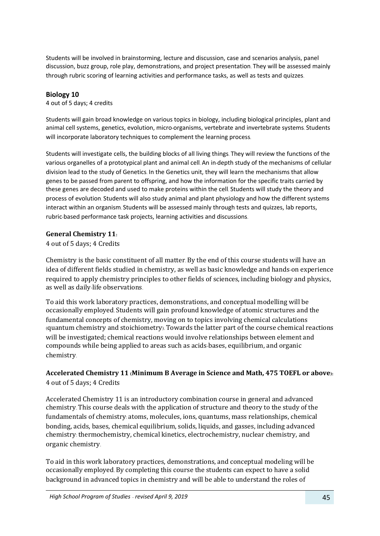Students will be involved in brainstorming, lecture and discussion, case and scenarios analysis, panel discussion, buzz group, role play, demonstrations, and project presentation. They will be assessed mainly through rubric scoring of learning activities and performance tasks, as well as tests and quizzes.

## **Biology 10**

4 out of 5 days; 4 credits

Students will gain broad knowledge on various topics in biology, including biological principles, plant and animal cell systems, genetics, evolution, micro-organisms, vertebrate and invertebrate systems. Students will incorporate laboratory techniques to complement the learning process.

Students will investigate cells, the building blocks of all living things. They will review the functions of the various organelles of a prototypical plant and animal cell. An in-depth study of the mechanisms of cellular division lead to the study of Genetics. In the Genetics unit, they will learn the mechanisms that allow genes to be passed from parent to offspring, and how the information for the specific traits carried by these genes are decoded and used to make proteins within the cell. Students will study the theory and process of evolution. Students will also study animal and plant physiology and how the different systems interact within an organism. Students will be assessed mainly through tests and quizzes, lab reports, rubric-based performance task projects, learning activities and discussions.

## **General Chemistry 11:**

4 out of 5 days; 4 Credits

Chemistry is the basic constituent of all matter. By the end of this course students will have an idea of different fields studied in chemistry, as well as basic knowledge and hands-on experience required to apply chemistry principles to other fields of sciences, including biology and physics, as well as daily-life observations.

To aid this work laboratory practices, demonstrations, and conceptual modelling will be occasionally employed. Students will gain profound knowledge of atomic structures and the fundamental concepts of chemistry, moving on to topics involving chemical calculations (quantum chemistry and stoichiometry). Towards the latter part of the course chemical reactions will be investigated; chemical reactions would involve relationships between element and compounds while being applied to areas such as acids-bases, equilibrium, and organic chemistry.

**Accelerated Chemistry 11 (Minimum B Average in Science and Math, 475 TOEFL or above):** 4 out of 5 days; 4 Credits

Accelerated Chemistry 11 is an introductory combination course in general and advanced chemistry. This course deals with the application of structure and theory to the study of the fundamentals of chemistry: atoms, molecules, ions, quantums, mass relationships, chemical bonding, acids, bases, chemical equilibrium, solids, liquids, and gasses, including advanced chemistry: thermochemistry, chemical kinetics, electrochemistry, nuclear chemistry, and organic chemistry.

To aid in this work laboratory practices, demonstrations, and conceptual modeling will be occasionally employed. By completing this course the students can expect to have a solid background in advanced topics in chemistry and will be able to understand the roles of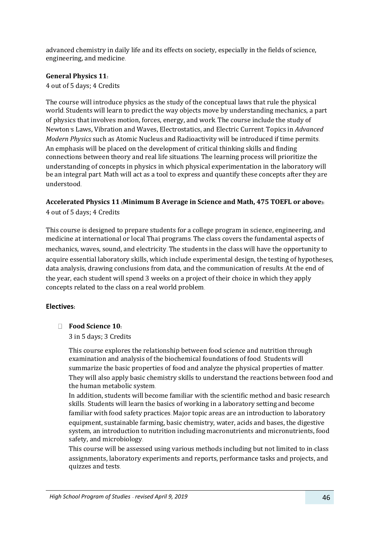advanced chemistry in daily life and its effects on society, especially in the fields of science, engineering, and medicine.

## **General Physics 11:**

4 out of 5 days; 4 Credits

The course will introduce physics as the study of the conceptual laws that rule the physical world. Students will learn to predict the way objects move by understanding mechanics, a part of physics that involves motion, forces, energy, and work. The course include the study of Newton's Laws, Vibration and Waves, Electrostatics, and Electric Current. Topics in *Advanced Modern Physics* such as Atomic Nucleus and Radioactivity will be introduced if time permits. An emphasis will be placed on the development of critical thinking skills and finding connections between theory and real life situations. The learning process will prioritize the understanding of concepts in physics in which physical experimentation in the laboratory will be an integral part. Math will act as a tool to express and quantify these concepts after they are understood.

## **Accelerated Physics 11 (Minimum B Average in Science and Math, 475 TOEFL or above):** 4 out of 5 days; 4 Credits

This course is designed to prepare students for a college program in science, engineering, and medicine at international or local Thai programs. The class covers the fundamental aspects of mechanics, waves, sound, and electricity. The students in the class will have the opportunity to acquire essential laboratory skills, which include experimental design, the testing of hypotheses, data analysis, drawing conclusions from data, and the communication of results. At the end of the year, each student will spend 3 weeks on a project of their choice in which they apply concepts related to the class on a real world problem.

## **Electives:**

**Food Science 10:**

3 in 5 days; 3 Credits

This course explores the relationship between food science and nutrition through examination and analysis of the biochemical foundations of food. Students will summarize the basic properties of food and analyze the physical properties of matter. They will also apply basic chemistry skills to understand the reactions between food and the human metabolic system.

In addition, students will become familiar with the scientific method and basic research skills. Students will learn the basics of working in a laboratory setting and become familiar with food safety practices. Major topic areas are an introduction to laboratory equipment, sustainable farming, basic chemistry, water, acids and bases, the digestive system, an introduction to nutrition including macronutrients and micronutrients, food safety, and microbiology.

This course will be assessed using various methods including but not limited to in-class assignments, laboratory experiments and reports, performance tasks and projects, and quizzes and tests.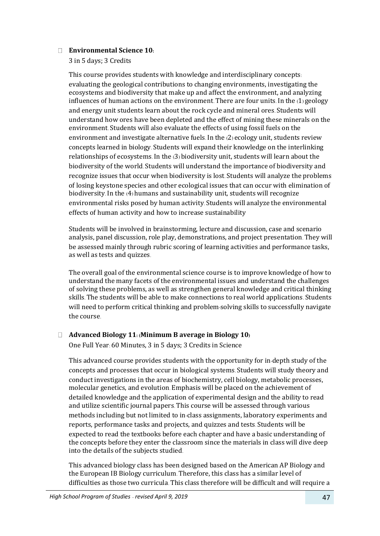#### **Environmental Science 10:**

3 in 5 days; 3 Credits

This course provides students with knowledge and interdisciplinary concepts: evaluating the geological contributions to changing environments, investigating the ecosystems and biodiversity that make up and affect the environment, and analyzing influences of human actions on the environment. There are four units. In the (1) geology and energy unit students learn about the rock cycle and mineral ores. Students will understand how ores have been depleted and the effect of mining these minerals on the environment. Students will also evaluate the effects of using fossil fuels on the environment and investigate alternative fuels. In the (2) ecology unit, students review concepts learned in biology. Students will expand their knowledge on the interlinking relationships of ecosystems. In the (3) biodiversity unit, students will learn about the biodiversity of the world. Students will understand the importance of biodiversity and recognize issues that occur when biodiversity is lost. Students will analyze the problems of losing keystone species and other ecological issues that can occur with elimination of biodiversity. In the (4) humans and sustainability unit, students will recognize environmental risks posed by human activity. Students will analyze the environmental effects of human activity and how to increase sustainability

Students will be involved in brainstorming, lecture and discussion, case and scenario analysis, panel discussion, role play, demonstrations, and project presentation. They will be assessed mainly through rubric scoring of learning activities and performance tasks, as well as tests and quizzes.

The overall goal of the environmental science course is to improve knowledge of how to understand the many facets of the environmental issues and understand the challenges of solving these problems, as well as strengthen general knowledge and critical thinking skills. The students will be able to make connections to real world applications. Students will need to perform critical thinking and problem-solving skills to successfully navigate the course.

## **Advanced Biology 11: (Minimum B average in Biology 10)**

One Full Year: 60 Minutes, 3 in 5 days; 3 Credits in Science

This advanced course provides students with the opportunity for in-depth study of the concepts and processes that occur in biological systems. Students will study theory and conduct investigations in the areas of biochemistry, cell biology, metabolic processes, molecular genetics, and evolution. Emphasis will be placed on the achievement of detailed knowledge and the application of experimental design and the ability to read and utilize scientific journal papers. This course will be assessed through various methods including but not limited to in-class assignments, laboratory experiments and reports, performance tasks and projects, and quizzes and tests. Students will be expected to read the textbooks before each chapter and have a basic understanding of the concepts before they enter the classroom since the materials in class will dive deep into the details of the subjects studied.

This advanced biology class has been designed based on the American AP Biology and the European IB Biology curriculum. Therefore, this class has a similar level of difficulties as those two curricula. This class therefore will be difficult and will require a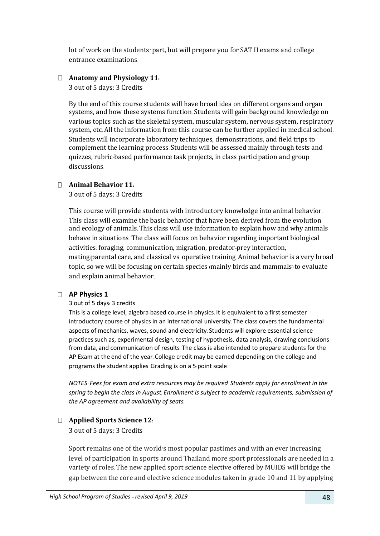lot of work on the students' part, but will prepare you for SAT II exams and college entrance examinations.

## **Anatomy and Physiology 11:**

3 out of 5 days; 3 Credits

By the end of this course students will have broad idea on different organs and organ systems, and how these systems function. Students will gain background knowledge on various topics such as the skeletal system, muscular system, nervous system, respiratory system, etc. All the information from this course can be further applied in medical school. Students will incorporate laboratory techniques, demonstrations, and field trips to complement the learning process. Students will be assessed mainly through tests and quizzes, rubric-based performance task projects, in class participation and group discussions.

## **Animal Behavior 11:**

3 out of 5 days; 3 Credits

This course will provide students with introductory knowledge into animal behavior. This class will examine the basic behavior that have been derived from the evolution and ecology of animals. This class will use information to explain how and why animals behave in situations. The class will focus on behavior regarding important biological activities: foraging, communication, migration, predator-prey interaction, mating/parental care, and classical vs. operative training. Animal behavior is a very broad topic, so we will be focusing on certain species (mainly birds and mammals) to evaluate and explain animal behavior.

#### **AP Physics 1**

#### 3 out of 5 days**:** 3 credits

This is a college level, algebra-based course in physics. It is equivalent to a first-semester introductory course of physics in an international university. The class covers the fundamental aspects of mechanics, waves, sound and electricity. Students will explore essential science practicessuch as, experimental design, testing of hypothesis, data analysis, drawing conclusions from data, and communication of results. The class is also intended to prepare students for the AP Exam at the end of the year. College credit may be earned depending on the college and programs the student applies. Grading is on a 5-point scale.

*NOTES: Fees for exam and extra resources may be required. Students apply for enrollment in the spring to begin the class in August. Enrollment is subject to academic requirements, submission of the AP agreement and availability of seats.*

## **Applied Sports Science 12:**

3 out of 5 days; 3 Credits

Sport remains one of the world's most popular pastimes and with an ever increasing level of participation in sports around Thailand more sport professionals are needed in a variety of roles. The new applied sport science elective offered by MUIDS will bridge the gap between the core and elective science modules taken in grade 10 and 11 by applying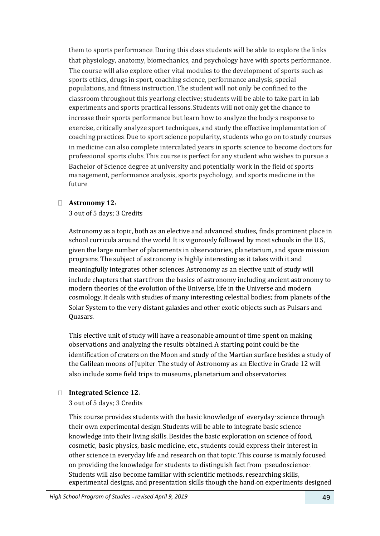them to sports performance. During this class students will be able to explore the links that physiology, anatomy, biomechanics, and psychology have with sports performance. The course will also explore other vital modules to the development of sports such as sports ethics, drugs in sport, coaching science, performance analysis, special populations, and fitness instruction. The student will not only be confined to the classroom throughout this yearlong elective; students will be able to take part in lab experiments and sports practical lessons. Students will not only get the chance to increase their sports performance but learn how to analyze the body's response to exercise, critically analyze sport techniques, and study the effective implementation of coaching practices. Due to sport science popularity, students who go on to study courses in medicine can also complete intercalated years in sports science to become doctors for professional sports clubs. This course is perfect for any student who wishes to pursue a Bachelor of Science degree at university and potentially work in the field of sports management, performance analysis, sports psychology, and sports medicine in the future.

## **Astronomy 12:**

## 3 out of 5 days; 3 Credits

Astronomy as a topic, both as an elective and advanced studies, finds prominent place in school curricula around the world. It is vigorously followed by most schools in the U.S, given the large number of placements in observatories, planetarium, and space mission programs. The subject of astronomy is highly interesting as it takes with it and meaningfully integrates other sciences. Astronomy as an elective unit of study will include chapters that start from the basics of astronomy including ancient astronomy to modern theories of the evolution of the Universe, life in the Universe and modern cosmology. It deals with studies of many interesting celestial bodies; from planets of the Solar System to the very distant galaxies and other exotic objects such as Pulsars and Quasars.

This elective unit of study will have a reasonable amount of time spent on making observations and analyzing the results obtained. A starting point could be the identification of craters on the Moon and study of the Martian surface besides a study of the Galilean moons of Jupiter. The study of Astronomy as an Elective in Grade 12 will also include some field trips to museums, planetarium and observatories.

## **Integrated Science 12:**

## 3 out of 5 days; 3 Credits

This course provides students with the basic knowledge of 'everyday' science through their own experimental design. Students will be able to integrate basic science knowledge into their living skills. Besides the basic exploration on science of food, cosmetic, basic physics, basic medicine, etc., students could express their interest in other science in everyday life and research on that topic. This course is mainly focused on providing the knowledge for students to distinguish fact from 'pseudoscience'. Students will also become familiar with scientific methods, researching skills, experimental designs, and presentation skills though the hand-on experiments designed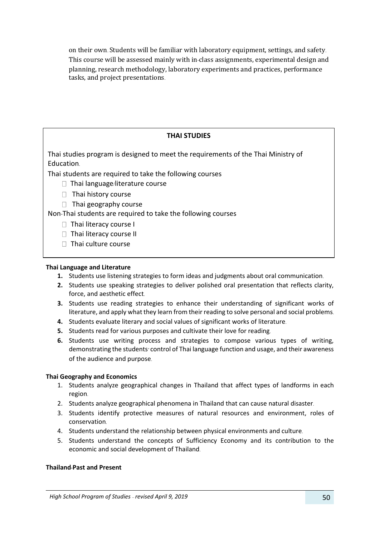on their own. Students will be familiar with laboratory equipment, settings, and safety. This course will be assessed mainly with in-class assignments, experimental design and planning, research methodology, laboratory experiments and practices, performance tasks, and project presentations.

## **THAI STUDIES**

Thai studies program is designed to meet the requirements of the Thai Ministry of Education.

Thai students are required to take the following courses

- $\Box$  Thai language/literature course
- $\Box$  Thai history course
- $\Box$  Thai geography course

Non-Thai students are required to take the following courses

 $\Box$  Thai literacy course I

- $\Box$  Thai literacy course II
- $\overline{S}$  with benchmarks about  $\overline{S}$  $\Box$  Thai culture course

#### **Thai Language and Literature**

- **1.** Students use listening strategies to form ideas and judgments about oral communication.
- **2.** Students use speaking strategies to deliver polished oral presentation that reflects clarity, force, and aesthetic effect.
- **3.** Students use reading strategies to enhance their understanding of significant works of literature, and apply what they learn from their reading to solve personal and social problems.
- **4.** Students evaluate literary and social values of significant works of literature.
- **5.** Students read for various purposes and cultivate their love for reading.
- **6.** Students use writing process and strategies to compose various types of writing, demonstrating the students' control of Thai language function and usage, and their awareness of the audience and purpose.

#### **Thai Geography and Economics**

- 1. Students analyze geographical changes in Thailand that affect types of landforms in each region.
- 2. Students analyze geographical phenomena in Thailand that can cause natural disaster.
- 3. Students identify protective measures of natural resources and environment, roles of conservation.
- 4. Students understand the relationship between physical environments and culture.
- 5. Students understand the concepts of Sufficiency Economy and its contribution to the economic and social development of Thailand.

#### **Thailand-Past and Present**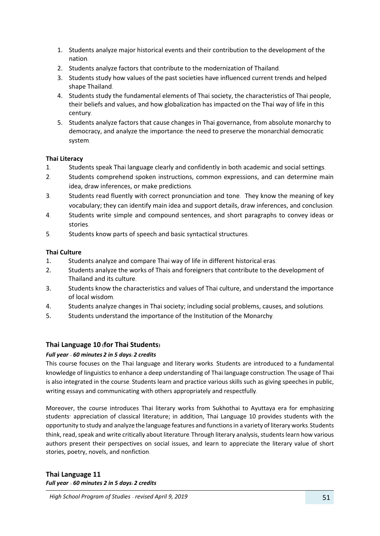- 1. Students analyze major historical events and their contribution to the development of the nation.
- 2. Students analyze factors that contribute to the modernization of Thailand.
- 3. Students study how values of the past societies have influenced current trends and helped shape Thailand.
- 4. Students study the fundamental elements of Thai society, the characteristics of Thai people, their beliefs and values, and how globalization has impacted on the Thai way of life in this century.
- 5. Students analyze factors that cause changes in Thai governance, from absolute monarchy to democracy, and analyze the importance/the need to preserve the monarchial democratic system.

#### **Thai Literacy**

- 1. Students speak Thai language clearly and confidently in both academic and social settings.
- 2. Students comprehend spoken instructions, common expressions, and can determine main idea, draw inferences, or make predictions.
- 3. Students read fluently with correct pronunciation and tone. They know the meaning of key vocabulary; they can identify main idea and support details, draw inferences, and conclusion.
- 4. Students write simple and compound sentences, and short paragraphs to convey ideas or stories.
- 5. Students know parts of speech and basic syntactical structures.

## **Thai Culture**

- 1. Students analyze and compare Thai way of life in different historical eras.
- 2. Students analyze the works of Thais and foreigners that contribute to the development of Thailand and its culture.
- 3. Students know the characteristics and values of Thai culture, and understand the importance of local wisdom.
- 4. Students analyze changes in Thai society; including social problems, causes, and solutions.
- 5. Students understand the importance of the Institution of the Monarchy.

## **Thai Language 10 (for Thai Students)**

#### *Full year – 60 minutes 2 in 5 days: 2 credits*

This course focuses on the Thai language and literary works. Students are introduced to a fundamental knowledge of linguistics to enhance a deep understanding of Thai language construction. The usage of Thai is also integrated in the course. Students learn and practice various skills such as giving speeches in public, writing essays and communicating with others appropriately and respectfully.

Moreover, the course introduces Thai literary works from Sukhothai to Ayuttaya era for emphasizing students' appreciation of classical literature; in addition, Thai Language 10 provides students with the opportunity to study and analyze the language features and functions in a variety of literary works. Students think, read, speak and write critically about literature. Through literary analysis, students learn how various authors present their perspectives on social issues, and learn to appreciate the literary value of short stories, poetry, novels, and nonfiction.

**Thai Language 11** *Full year – 60 minutes 2 in 5 days: 2 credits*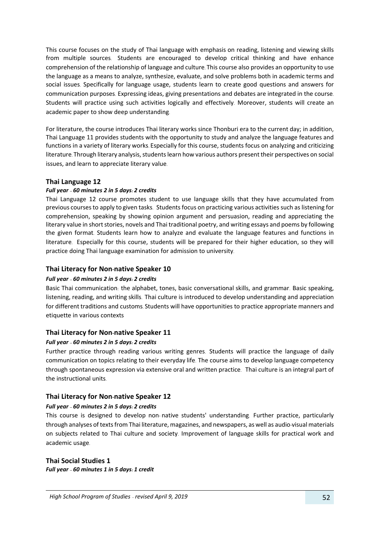This course focuses on the study of Thai language with emphasis on reading, listening and viewing skills from multiple sources. Students are encouraged to develop critical thinking and have enhance comprehension of the relationship of language and culture. This course also provides an opportunity to use the language as a means to analyze, synthesize, evaluate, and solve problems both in academic terms and social issues. Specifically for language usage, students learn to create good questions and answers for communication purposes. Expressing ideas, giving presentations and debates are integrated in the course. Students will practice using such activities logically and effectively. Moreover, students will create an academic paper to show deep understanding.

For literature, the course introduces Thai literary works since Thonburi era to the current day; in addition, Thai Language 11 provides students with the opportunity to study and analyze the language features and functions in a variety of literary works. Especially for this course, students focus on analyzing and criticizing literature. Through literary analysis, students learn how various authors present their perspectives on social issues, and learn to appreciate literary value.

#### **Thai Language 12**

#### *Full year – 60 minutes 2 in 5 days: 2 credits*

Thai Language 12 course promotes student to use language skills that they have accumulated from previous courses to apply to given tasks. Students focus on practicing various activities such as listening for comprehension, speaking by showing opinion argument and persuasion, reading and appreciating the literary value in short stories, novels and Thai traditional poetry, and writing essays and poems by following the given format. Students learn how to analyze and evaluate the language features and functions in literature. Especially for this course, students will be prepared for their higher education, so they will practice doing Thai language examination for admission to university.

#### **Thai Literacy for Non-native Speaker 10**

#### *Full year – 60 minutes 2 in 5 days: 2 credits*

Basic Thai communication: the alphabet, tones, basic conversational skills, and grammar. Basic speaking, listening, reading, and writing skills. Thai culture is introduced to develop understanding and appreciation for different traditions and customs. Students will have opportunities to practice appropriate manners and etiquette in various contexts

#### **Thai Literacy for Non-native Speaker 11**

#### *Full year – 60 minutes 2 in 5 days: 2 credits*

Further practice through reading various writing genres. Students will practice the language of daily communication on topics relating to their everyday life. The course aims to develop language competency through spontaneous expression via extensive oral and written practice. Thai culture is an integral part of the instructional units.

#### **Thai Literacy for Non-native Speaker 12**

#### *Full year – 60 minutes 2 in 5 days: 2 credits*

This course is designed to develop non- native students' understanding. Further practice, particularly through analyses of texts from Thai literature, magazines, and newspapers, as well as audio-visual materials on subjects related to Thai culture and society. Improvement of language skills for practical work and academic usage.

#### **Thai Social Studies 1**

*Full year – 60 minutes 1 in 5 days: 1 credit*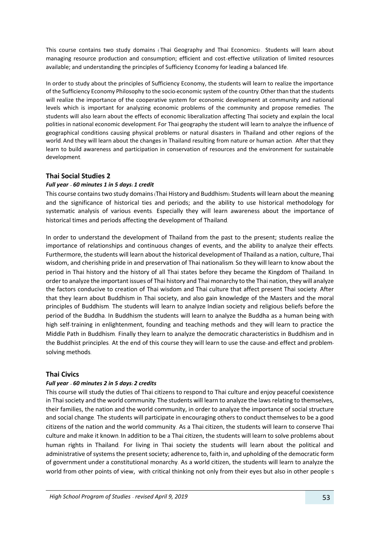This course contains two study domains (Thai Geography and Thai Economics). Students will learn about managing resource production and consumption; efficient and cost-effective utilization of limited resources available; and understanding the principles of Sufficiency Economy for leading a balanced life.

In order to study about the principles of Sufficiency Economy, the students will learn to realize the importance of the Sufficiency Economy Philosophy to the socio-economic system of the country. Other than that the students will realize the importance of the cooperative system for economic development at community and national levels which is important for analyzing economic problems of the community and propose remedies. The students will also learn about the effects of economic liberalization affecting Thai society and explain the local polities in national economic development. For Thai geography the student will learn to analyze the influence of geographical conditions causing physical problems or natural disasters in Thailand and other regions of the world. And they will learn about the changes in Thailand resulting from nature or human action. After that they learn to build awareness and participation in conservation of resources and the environment for sustainable development.

## **Thai Social Studies 2**

#### *Full year – 60 minutes 1 in 5 days: 1 credit*

This course contains two study domains (Thai History and Buddhism). Students will learn about the meaning and the significance of historical ties and periods; and the ability to use historical methodology for systematic analysis of various events. Especially they will learn awareness about the importance of historical times and periods affecting the development of Thailand.

In order to understand the development of Thailand from the past to the present; students realize the importance of relationships and continuous changes of events, and the ability to analyze their effects. Furthermore, the students will learn about the historical development of Thailand as a nation, culture, Thai wisdom, and cherishing pride in and preservation of Thai nationalism. So they will learn to know about the period in Thai history and the history of all Thai states before they became the Kingdom of Thailand. In order to analyze the important issues of Thai history and Thai monarchy to the Thai nation, they will analyze the factors conducive to creation of Thai wisdom and Thai culture that affect present Thai society. After that they learn about Buddhism in Thai society, and also gain knowledge of the Masters and the moral principles of Buddhism. The students will learn to analyze Indian society and religious beliefs before the period of the Buddha. In Buddhism the students will learn to analyze the Buddha as a human being with high self-training in enlightenment, founding and teaching methods and they will learn to practice the Middle Path in Buddhism. Finally they learn to analyze the democratic characteristics in Buddhism and in the Buddhist principles. At the end of this course they will learn to use the cause-and-effect and problemsolving methods.

#### **Thai Civics**

#### *Full year – 60 minutes 2 in 5 days: 2 credits*

This course will study the duties of Thai citizens to respond to Thai culture and enjoy peaceful coexistence in Thai society and the world community. The students will learn to analyze the laws relating to themselves, their families, the nation and the world community, in order to analyze the importance of social structure and social change. The students will participate in encouraging others to conduct themselves to be a good citizens of the nation and the world community. As a Thai citizen, the students will learn to conserve Thai culture and make it known. In addition to be a Thai citizen, the students will learn to solve problems about human rights in Thailand. For living in Thai society the students will learn about the political and administrative of systems the present society; adherence to, faith in, and upholding of the democratic form of government under a constitutional monarchy. As a world citizen, the students will learn to analyze the world from other points of view, with critical thinking not only from their eyes but also in other people's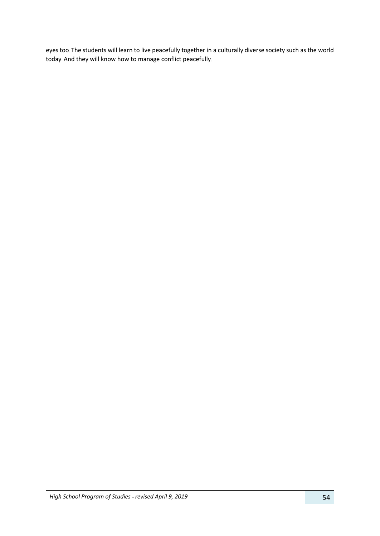eyes too. The students will learn to live peacefully together in a culturally diverse society such as the world today. And they will know how to manage conflict peacefully.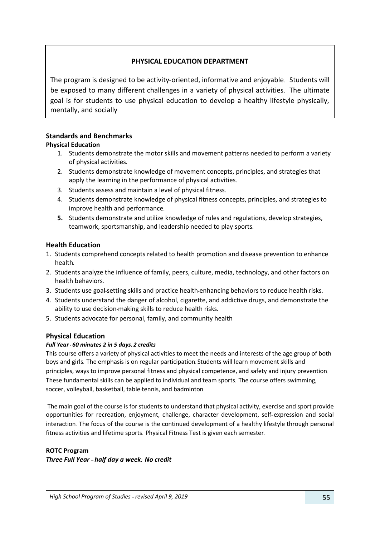## **PHYSICAL EDUCATION DEPARTMENT**

The program is designed to be activity-oriented, informative and enjoyable. Students will be exposed to many different challenges in a variety of physical activities. The ultimate goal is for students to use physical education to develop a healthy lifestyle physically, mentally, and socially.

## **Standards and Benchmarks**

## **Physical Education**

- 1. Students demonstrate the motor skills and movement patterns needed to perform a variety of physical activities**.**
- 2. Students demonstrate knowledge of movement concepts, principles, and strategies that apply the learning in the performance of physical activities**.**
- 3. Students assess and maintain a level of physical fitness**.**
- 4. Students demonstrate knowledge of physical fitness concepts, principles, and strategies to improve health and performance**.**
- **5.** Students demonstrate and utilize knowledge of rules and regulations, develop strategies, teamwork, sportsmanship, and leadership needed to play sports**.**

#### **Health Education**

- 1. Students comprehend concepts related to health promotion and disease prevention to enhance health**.**
- 2. Students analyze the influence of family, peers, culture, media, technology, and other factors on health behaviors**.**
- 3. Students use goal**-**setting skills and practice health**-**enhancing behaviors to reduce health risks**.**
- 4. Students understand the danger of alcohol, cigarette, and addictive drugs, and demonstrate the ability to use decision**-**making skills to reduce health risks**.**
- 5. Students advocate for personal, family, and community health

#### **Physical Education**

#### *Full Year- 60 minutes 2 in 5 days: 2 credits*

This course offers a variety of physical activities to meet the needs and interests of the age group of both boys and girls. The emphasis is on regular participation. Students will learn movement skills and principles, ways to improve personal fitness and physical competence, and safety and injury prevention. These fundamental skills can be applied to individual and team sports. The course offers swimming, soccer, volleyball, basketball, table-tennis, and badminton.

The main goal of the course is for students to understand that physical activity, exercise and sport provide opportunities for recreation, enjoyment, challenge, character development, self- expression and social interaction. The focus of the course is the continued development of a healthy lifestyle through personal fitness activities and lifetime sports. Physical Fitness Test is given each semester.

#### **ROTC Program**

*Three Full Year – half day a week: No credit*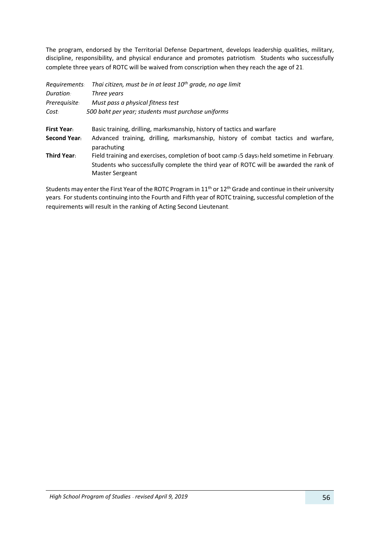The program, endorsed by the Territorial Defense Department, develops leadership qualities, military, discipline, responsibility, and physical endurance and promotes patriotism. Students who successfully complete three years of ROTC will be waived from conscription when they reach the age of 21.

| Requirements:      | Thai citizen, must be in at least 10 <sup>th</sup> grade, no age limit                                                                                                                                |
|--------------------|-------------------------------------------------------------------------------------------------------------------------------------------------------------------------------------------------------|
| <b>Duration:</b>   | Three years                                                                                                                                                                                           |
| Prerequisite:      | Must pass a physical fitness test                                                                                                                                                                     |
| Cost:              | 500 baht per year; students must purchase uniforms                                                                                                                                                    |
| <b>First Year:</b> | Basic training, drilling, marksmanship, history of tactics and warfare                                                                                                                                |
| Second Year:       | Advanced training, drilling, marksmanship, history of combat tactics and warfare,<br>parachuting                                                                                                      |
| <b>Third Year:</b> | Field training and exercises, completion of boot camp (5 days) held sometime in February.<br>Students who successfully complete the third year of ROTC will be awarded the rank of<br>Master Sergeant |

Students may enter the First Year of the ROTC Program in 11<sup>th</sup> or 12<sup>th</sup> Grade and continue in their university years. For students continuing into the Fourth and Fifth year of ROTC training, successful completion of the requirements will result in the ranking of Acting Second Lieutenant.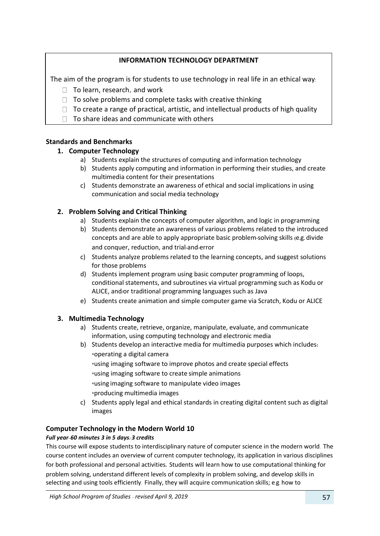## **INFORMATION TECHNOLOGY DEPARTMENT**

The aim of the program is for students to use technology in real life in an ethical way:

- $\Box$  To learn, research, and work
- $\Box$  To solve problems and complete tasks with creative thinking
- $\Box$  To create a range of practical, artistic, and intellectual products of high quality
- $\Box$  To share ideas and communicate with others

## **Standards and Benchmarks**

## **1. Computer Technology**

- a) Students explain the structures of computing and information technology
- b) Students apply computing and information in performing their studies, and create multimedia content for their presentations
- c) Students demonstrate an awareness of ethical and social implications in using communication and social media technology

## **2. Problem Solving and Critical Thinking**

- a) Students explain the concepts of computer algorithm, and logic in programming
- b) Students demonstrate an awareness of various problems related to the introduced concepts and are able to apply appropriate basic problem**-**solving skills **(**e**.**g**.** divide and conquer, reduction, and trial**-**and**-**error
- c) Students analyze problems related to the learning concepts, and suggest solutions for those problems
- d) Students implement program using basic computer programming of loops, conditional statements, and subroutines via virtual programming such as Kodu or ALICE, and**/**or traditional programming languages such as Java
- e) Students create animation and simple computer game via Scratch, Kodu or ALICE

## **3. Multimedia Technology**

- a) Students create, retrieve, organize, manipulate, evaluate, and communicate information, using computing technology and electronic media
- b) Students develop an interactive media for multimedia purposes which includes**: \***operating a digital camera **\***using imaging software to improve photos and create special effects **\***using imaging software to create simple animations **\***using imaging software to manipulate video images **\***producing multimedia images
- c) Students apply legal and ethical standards in creating digital content such as digital images

## **Computer Technology in the Modern World 10**

#### *Full year–60 minutes 3 in 5 days: 3 credits*

This course will expose students to interdisciplinary nature of computer science in the modern world. The course content includes an overview of current computer technology, its application in various disciplines for both professional and personal activities**.** Students will learn how to use computational thinking for problem solving, understand different levels of complexity in problem solving, and develop skills in selecting and using tools efficiently. Finally, they will acquire communication skills; e.g. how to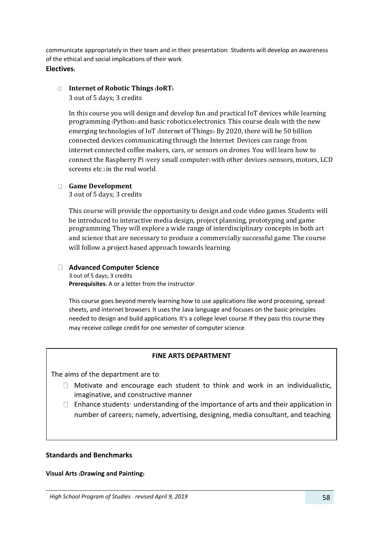communicate appropriately in their team and in their presentation. Students will develop an awareness of the ethical and social implications of their work.

## **Electives:**

## **Internet of Robotic Things (IoRT)**

3 out of 5 days; 3 credits

In this course you will design and develop fun and practical IoT devices while learning programming (Python) and basic robotics/electronics. This course deals with the new emerging technologies of IoT (Internet of Things). By 2020, there will be 50 billion connected devices communicating through the Internet. Devices can range from internet-connected coffee makers, cars, or sensors on drones. You will learn how to connect the Raspberry Pi (very small computer) with other devices (sensors, motors, LCD screens etc.) in the real world.

## **Game Development**

3 out of 5 days; 3 credits

This course will provide the opportunity to design and code video games. Students will be introduced to interactive media design, project planning, prototyping and game programming. They will explore a wide range of interdisciplinary concepts in both art and science that are necessary to produce a commercially successful game. The course will follow a project-based approach towards learning.

## **Advanced Computer Science**

3 out of 5 days; 3 credits **Prerequisites:** A or a letter from the instructor.

This course goes beyond merely learning how to use applications like word processing, spread sheets, and internet browsers. It uses the Java language and focuses on the basic principles needed to design and build applications. It's a college level course. If they pass this course they may receive college credit for one semester of computer science.

#### **FINE ARTS DEPARTMENT**

The aims of the department are to:

- $\Box$  Motivate and encourage each student to think and work in an individualistic, imaginative, and constructive manner
- $\Box$  Enhance students' understanding of the importance of arts and their application in number of careers; namely, advertising, designing, media consultant, and teaching.

#### **Standards and Benchmarks**

#### **Visual Arts (Drawing and Painting)**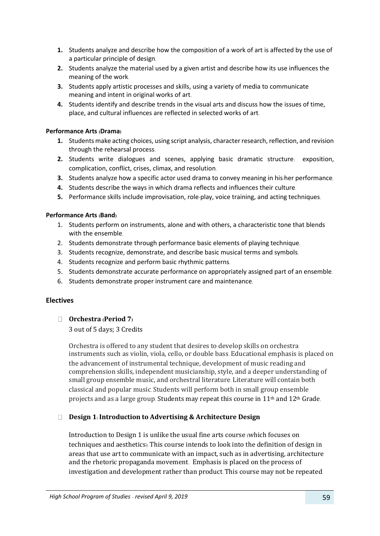- **1.** Students analyze and describe how the composition of a work of art is affected by the use of a particular principle of design.
- **2.** Students analyze the material used by a given artist and describe how its use influences the meaning of the work.
- **3.** Students apply artistic processes and skills, using a variety of media to communicate meaning and intent in original works of art.
- **4.** Students identify and describe trends in the visual arts and discuss how the issues of time, place, and cultural influences are reflected in selected works of art.

#### **Performance Arts (Drama)**

- **1.** Students make acting choices, using script analysis, character research, reflection, and revision through the rehearsal process.
- **2.** Students write dialogues and scenes, applying basic dramatic structure: exposition, complication, conflict, crises, climax, and resolution.
- **3.** Students analyze how a specific actor used drama to convey meaning in his/her performance.
- **4.** Students describe the ways in which drama reflects and influences their culture.
- **5.** Performance skills include improvisation, role-play, voice training, and acting techniques.

#### **Performance Arts (Band)**

- 1. Students perform on instruments, alone and with others, a characteristic tone that blends with the ensemble.
- 2. Students demonstrate through performance basic elements of playing technique.
- 3. Students recognize, demonstrate, and describe basic musical terms and symbols.
- 4. Students recognize and perform basic rhythmic patterns.
- 5. Students demonstrate accurate performance on appropriately assigned part of an ensemble.
- 6. Students demonstrate proper instrument care and maintenance.

#### **Electives**

#### **Orchestra (Period 7)**

#### 3 out of 5 days; 3 Credits

Orchestra is offered to any student that desires to develop skills on orchestra instruments such as violin, viola, cello, or double bass. Educational emphasis is placed on the advancement of instrumental technique, development of music reading and comprehension skills, independent musicianship, style, and a deeper understanding of small group ensemble music, and orchestral literature. Literature will contain both classical and popular music. Students will perform both in small group ensemble projects and as a large group. Students may repeat this course in 11th and 12th Grade.

#### **Design 1: Introduction to Advertising & Architecture Design**

Introduction to Design 1 is unlike the usual fine arts course (which focuses on techniques and aesthetics). This course intends to look into the definition of design in areas that use art to communicate with an impact, such as in advertising, architecture and the rhetoric propaganda movement. Emphasis is placed on the process of investigation and development rather than product. This course may not be repeated.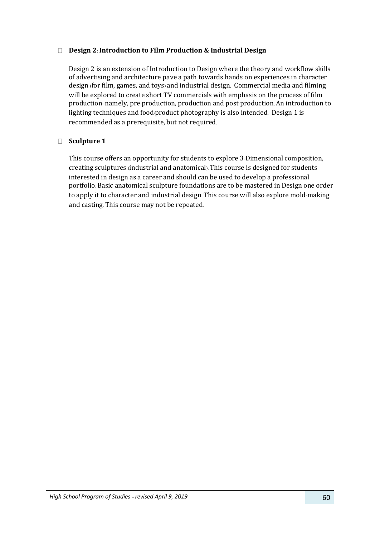#### **Design 2: Introduction to Film Production & Industrial Design**

Design 2 is an extension of Introduction to Design where the theory and workflow skills of advertising and architecture pave a path towards hands on experiences in character design (for film, games, and toys) and industrial design. Commercial media and filming will be explored to create short TV commercials with emphasis on the process of film production- namely, pre-production, production and post-production. An introduction to lighting techniques and food/product photography is also intended. Design 1 is recommended as a prerequisite, but not required.

## **Sculpture 1**

This course offers an opportunity for students to explore 3-Dimensional composition, creating sculptures (industrial and anatomical). This course is designed for students interested in design as a career and should can be used to develop a professional portfolio. Basic anatomical sculpture foundations are to be mastered in Design one order to apply it to character and industrial design. This course will also explore mold-making and casting. This course may not be repeated.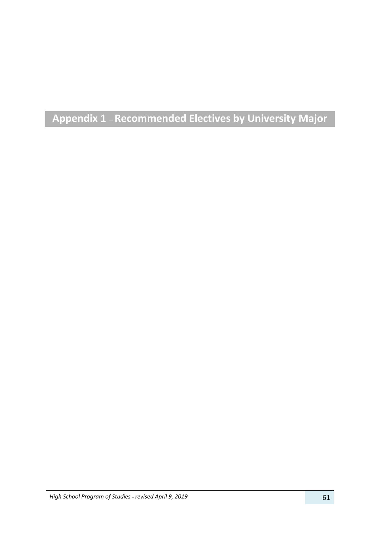# **Appendix 1 – Recommended Electives by University Major**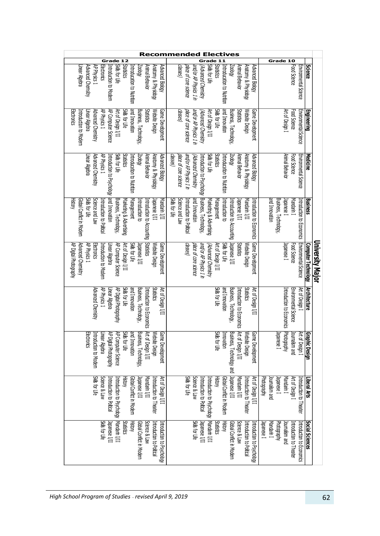| Recommended<br>ves                                                                                                                                                                                                                                                                     |                                                                                                                                                                                                                                                                    |                                                                                                                                          |  |  |
|----------------------------------------------------------------------------------------------------------------------------------------------------------------------------------------------------------------------------------------------------------------------------------------|--------------------------------------------------------------------------------------------------------------------------------------------------------------------------------------------------------------------------------------------------------------------|------------------------------------------------------------------------------------------------------------------------------------------|--|--|
| $\overline{\mathbf{z}}$<br>Grade<br>1                                                                                                                                                                                                                                                  |                                                                                                                                                                                                                                                                    | Grade 10                                                                                                                                 |  |  |
| <b>Statistics</b><br>Electronics<br>Skilt for Life<br>Animal Behavior<br>Anatomy & Physiology<br>Linear Algebra<br>Advanced Chemstry<br>AP Physics 1<br>Introduction to Modern<br><b>Zooloy</b><br>Advanced Biology<br>Introducation to Nutrition                                      | Sult for Life<br>Statistics<br>Introducation to Nutrition<br>and/or AP Physics 1 in<br>(Advanced Chemistry)<br>Anatomy & Physiology<br>VpdooS/<br>Animal Behavior<br>Advanced Biology<br>casses)<br>place of core science                                          | Food Science<br><b>Environmental Science</b><br>Science                                                                                  |  |  |
| AP Physics 1<br>AP Computer Science<br>and Innovation<br><b>Statistics</b><br>Website Design<br>Skils for Life<br>Business, Technology,<br>Game Development<br>Electronics<br>Advanced Chemistry<br>Art of Design I/II<br>Introduction to Modern<br>Linear Algebra                     | and Innovation<br>Skills for Life<br>and/or AP Physics 1 in<br>Art of Design I/II<br>Business, Technology,<br>Game Development<br>(Sassep)<br>Statistics<br>Website Design<br>place of core science<br>Advanced Chemistry                                          | Art of Design I<br>Environmental Science<br><b>Engineering</b><br>Food Science                                                           |  |  |
| Advanced Chemistry<br>AP Physics 1<br>Introduction to Psychology  and Innovation<br>Solb for Life<br>Statistics<br>Animal Behavior<br>Anatomy & Physiology<br>Advanced Biology<br>Introducation to Nutrition<br><b>Zoolory</b><br>Linear Algebra                                       | Skilt for Life<br><b>Statistics</b><br>and/or AP Physics 1 in<br>Introducation to Nutrition<br><b>Koooz</b><br>Animal Behavior<br>Anatomy & Physiology<br>Advanced Biology<br>casses)<br>place of core science<br>Advanced Chemistry<br>Introduction to Psychology | Animal Behavior<br>Environmental Science<br>Food Science<br><b>Medicine</b>                                                              |  |  |
| Science and Law<br>Business, Technology,<br>Management<br>Mandarin I/II<br>History<br>Global Conflict in Modern<br>Solb for Life<br>Marketing & Advertising<br>$\frac{1}{2}$ assumed $\frac{1}{2}$<br>Introduction to Politica<br>Introduction to Accounting<br>introduction to        | Business, Technology,<br>Science and Law<br>and Innovation<br>Skils for Life<br>Introduction to Political<br>Management<br>Marketing & Advertising<br>Introduction to<br>Japanese I/II<br>Mandarin I/II<br>Introduction to Accounting<br>Introduction to Economics | and Innovation<br>Business, Technology,<br>Mandarin 1<br>Japanese 1<br>Introduction to Economics<br><b>Business</b>                      |  |  |
| Statistics<br>Advanced Chemistry<br>Skills for Life<br>AP Digital Photography<br>Introduction to Modern<br>Linear Algebra<br>AP Computer Science<br>Art of Design I/II<br>AP Physics 1<br>Electronics<br>Japanese I/II<br>Website Design<br>Game Development                           | Game Development<br>and/or AP Physics 1 in<br>Skils for Life<br>Japanese I/II<br>Art of Design I/II<br><b>Statistics</b><br>casses)<br>Website Design<br>place of core science<br>(Advanced Chemistry                                                              | University Major<br>Environmental Science<br>Food Science<br><b>Computer Technology</b><br>lapanese 1                                    |  |  |
| Skils for Life<br>and Innovation<br>Business, Technology,<br>Statistics<br>AP Physics 1<br>AP Digital Photography<br>Art of Design I/II<br>Advanced Chemistry<br>Introduction to Economics Introduction to Economics Introduction to Equation Computer of Designal I<br>Linear Algebra | and Innovation<br>Solb for Life<br>Business, Technology,<br>Introduction to Economics<br>Statistics<br>Art of Design I/II                                                                                                                                          | Art of Design I<br>Environmental Science<br>Introduction to Economics Photography<br><b>Architecture</b>                                 |  |  |
| Business, Technology,<br>AP Computer Science<br>and Innovation<br>Game Development<br><b>Electronics</b><br>AP Digital Photography<br>Skills for Life<br>Website Design<br>Introduction to Modern<br>Linear Algebra                                                                    | Art of Design I/II<br>Business, Technology and<br>Skils for Life<br>Website Design<br>ନ୍ଦ୍ର<br>Innovation<br>me Development                                                                                                                                        | barnalism and<br>Art of Design I<br>Graphic Design<br>Japanese 1                                                                         |  |  |
| Skilt for Life<br>Science & Law<br>Art of Design I/II<br>Global Conflict in Modern<br>Mandarin I/II<br>Introduction to Theater<br>Introduction to Political<br>Hstory<br>Japanese I/II<br>introduction to Psychology Mandarin I/II                                                     | II/I asauede<br>Solb for Life<br>Science & Law<br><b>History</b><br>Global Conflict in Modern<br>Art of Design I/II<br>Introduction to Psychology  Mandarin I/II<br>Mandarin I/II<br>Introduction to Theater<br>Introduction to Political                          | Mandarin I<br>Art of Design I<br>Photography<br>Japanese 1<br>Introduction to Theater<br>bounalism and<br>Liberal Arts                   |  |  |
| Skills for Life<br>$\frac{1}{2}$ absueder<br><b>History</b><br>Science & Law<br>Statistics<br>Introduction to Political<br>Global Conflict in Modern<br>Introduction to Psychology                                                                                                     | Skilt for Life<br><b>History</b><br>Statistics<br>Global Conflict in Modern<br>Science & Law<br>Inpanese I/II<br>ntroduction to Psychology<br>ntroduction to Political                                                                                             | <b>Social Sciences</b><br>Introduction to Economics<br>Japanese 1<br>Mandarin 1<br>Photography<br>bar malsmup<br>Introduction to Theater |  |  |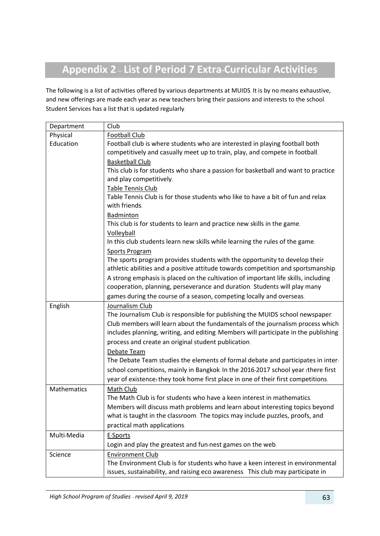# **Appendix 2 – List of Period 7 Extra-Curricular Activities**

The following is a list of activities offered by various departments at MUIDS. It is by no means exhaustive, and new offerings are made each year as new teachers bring their passions and interests to the school. Student Services has a list that is updated regularly.

| Department  | Club                                                                                |
|-------------|-------------------------------------------------------------------------------------|
| Physical    | <b>Football Club</b>                                                                |
| Education   | Football club is where students who are interested in playing football both         |
|             | competitively and casually meet up to train, play, and compete in football.         |
|             | <b>Basketball Club</b>                                                              |
|             | This club is for students who share a passion for basketball and want to practice   |
|             | and play competitively.                                                             |
|             | Table Tennis Club                                                                   |
|             | Table Tennis Club is for those students who like to have a bit of fun and relax     |
|             | with friends.                                                                       |
|             | Badminton                                                                           |
|             | This club is for students to learn and practice new skills in the game.             |
|             | Volleyball                                                                          |
|             | In this club students learn new skills while learning the rules of the game.        |
|             | <b>Sports Program</b>                                                               |
|             | The sports program provides students with the opportunity to develop their          |
|             | athletic abilities and a positive attitude towards competition and sportsmanship.   |
|             | A strong emphasis is placed on the cultivation of important life skills, including  |
|             | cooperation, planning, perseverance and duration. Students will play many           |
|             | games during the course of a season, competing locally and overseas.                |
| English     | Journalism Club                                                                     |
|             | The Journalism Club is responsible for publishing the MUIDS school newspaper.       |
|             | Club members will learn about the fundamentals of the journalism process which      |
|             | includes planning, writing, and editing. Members will participate in the publishing |
|             | process and create an original student publication.                                 |
|             | Debate Team                                                                         |
|             | The Debate Team studies the elements of formal debate and participates in inter-    |
|             | school competitions, mainly in Bangkok. In the 2016-2017 school year (there first   |
|             | year of existence) they took home first place in one of their first competitions.   |
| Mathematics | Math Club                                                                           |
|             | The Math Club is for students who have a keen interest in mathematics.              |
|             | Members will discuss math problems and learn about interesting topics beyond        |
|             | what is taught in the classroom. The topics may include puzzles, proofs, and        |
|             | practical math applications.                                                        |
| Multi-Media | E-Sports                                                                            |
|             | Login and play the greatest and fun-nest games on the web.                          |
| Science     | <b>Environment Club</b>                                                             |
|             | The Environment Club is for students who have a keen interest in environmental      |
|             | issues, sustainability, and raising eco awareness. This club may participate in     |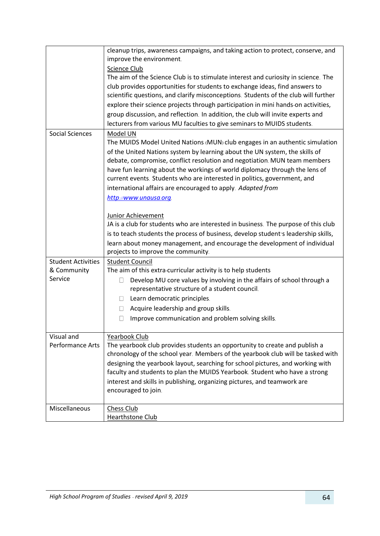|                                                     | cleanup trips, awareness campaigns, and taking action to protect, conserve, and<br>improve the environment.<br>Science Club<br>The aim of the Science Club is to stimulate interest and curiosity in science. The<br>club provides opportunities for students to exchange ideas, find answers to<br>scientific questions, and clarify misconceptions. Students of the club will further<br>explore their science projects through participation in mini hands-on activities,<br>group discussion, and reflection. In addition, the club will invite experts and<br>lecturers from various MU faculties to give seminars to MUIDS students.                                                                                                                                             |
|-----------------------------------------------------|----------------------------------------------------------------------------------------------------------------------------------------------------------------------------------------------------------------------------------------------------------------------------------------------------------------------------------------------------------------------------------------------------------------------------------------------------------------------------------------------------------------------------------------------------------------------------------------------------------------------------------------------------------------------------------------------------------------------------------------------------------------------------------------|
| <b>Social Sciences</b>                              | Model UN<br>The MUIDS Model United Nations (MUN) club engages in an authentic simulation<br>of the United Nations system by learning about the UN system, the skills of<br>debate, compromise, conflict resolution and negotiation. MUN team members<br>have fun learning about the workings of world diplomacy through the lens of<br>current events. Students who are interested in politics, government, and<br>international affairs are encouraged to apply. Adapted from<br>http://www.unausa.org<br>Junior Achievement<br>JA is a club for students who are interested in business. The purpose of this club<br>is to teach students the process of business, develop student's leadership skills,<br>learn about money management, and encourage the development of individual |
|                                                     | projects to improve the community.                                                                                                                                                                                                                                                                                                                                                                                                                                                                                                                                                                                                                                                                                                                                                     |
| <b>Student Activities</b><br>& Community<br>Service | <b>Student Council</b><br>The aim of this extra-curricular activity is to help students<br>Develop MU core values by involving in the affairs of school through a<br>$\Box$<br>representative structure of a student council.<br>Learn democratic principles.<br>$\Box$<br>Acquire leadership and group skills.<br>u<br>Improve communication and problem solving skills.<br>$\mathbb{R}$                                                                                                                                                                                                                                                                                                                                                                                              |
| Visual and<br><b>Performance Arts</b>               | Yearbook Club<br>The yearbook club provides students an opportunity to create and publish a<br>chronology of the school year. Members of the yearbook club will be tasked with<br>designing the yearbook layout, searching for school pictures, and working with<br>faculty and students to plan the MUIDS Yearbook. Student who have a strong<br>interest and skills in publishing, organizing pictures, and teamwork are<br>encouraged to join.                                                                                                                                                                                                                                                                                                                                      |
| Miscellaneous                                       | Chess Club<br><b>Hearthstone Club</b>                                                                                                                                                                                                                                                                                                                                                                                                                                                                                                                                                                                                                                                                                                                                                  |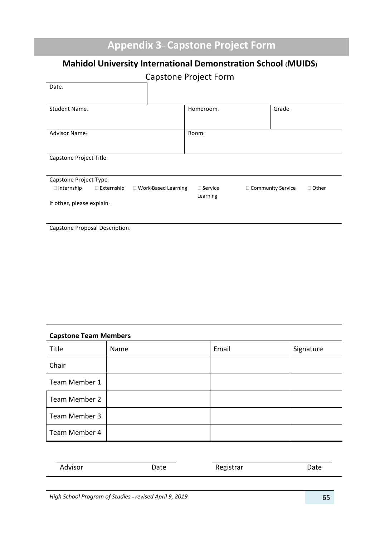# **Appendix 3– Capstone Project Form**

## **Mahidol University International Demonstration School (MUIDS)**

Capstone Project Form

| Date:                                                                    |                   |                       |                               |                                             |
|--------------------------------------------------------------------------|-------------------|-----------------------|-------------------------------|---------------------------------------------|
| Student Name:                                                            |                   |                       | Homeroom:                     | Grade:                                      |
| Advisor Name:                                                            |                   |                       | Room:                         |                                             |
| Capstone Project Title:                                                  |                   |                       |                               |                                             |
| Capstone Project Type:<br>$\Box$ Internship<br>If other, please explain: | $\Box$ Externship | □ Work-Based Learning | $\square$ Service<br>Learning | $\square$ Community Service<br>$\Box$ Other |
| Capstone Proposal Description:                                           |                   |                       |                               |                                             |
|                                                                          |                   |                       |                               |                                             |
|                                                                          |                   |                       |                               |                                             |
|                                                                          |                   |                       |                               |                                             |
|                                                                          |                   |                       |                               |                                             |
| <b>Capstone Team Members</b>                                             |                   |                       |                               |                                             |
| Title                                                                    | Name              |                       | Email                         | Signature                                   |
| Chair                                                                    |                   |                       |                               |                                             |
| Team Member 1                                                            |                   |                       |                               |                                             |
| Team Member 2                                                            |                   |                       |                               |                                             |
| Team Member 3                                                            |                   |                       |                               |                                             |
| Team Member 4                                                            |                   |                       |                               |                                             |
|                                                                          |                   |                       |                               |                                             |
| Advisor                                                                  |                   | Date                  | Registrar                     | Date                                        |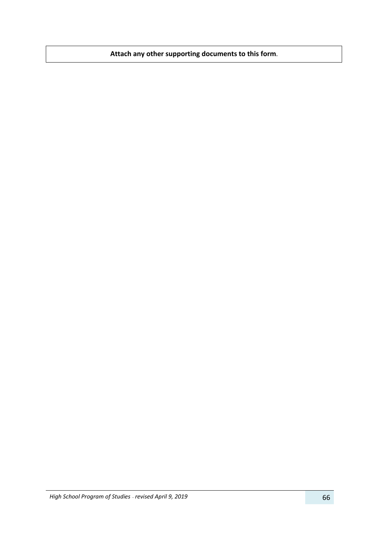**Attach any other supporting documents to this form.**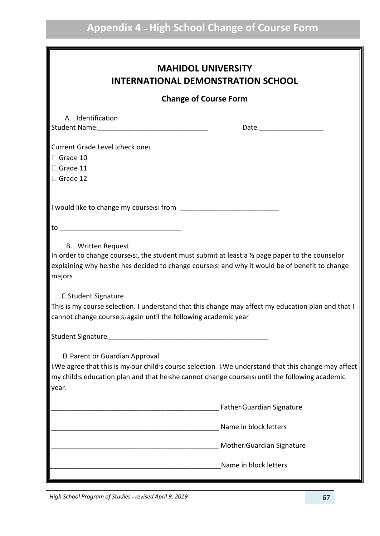| <b>INTERNATIONAL DEMONSTRATION SCHOOL</b>                        |                                                                                                                                                                                                                                                                                                                                           |  |
|------------------------------------------------------------------|-------------------------------------------------------------------------------------------------------------------------------------------------------------------------------------------------------------------------------------------------------------------------------------------------------------------------------------------|--|
|                                                                  | <b>Change of Course Form</b>                                                                                                                                                                                                                                                                                                              |  |
| A. Identification                                                |                                                                                                                                                                                                                                                                                                                                           |  |
| Current Grade Level (check one)<br>$\Box$ Grade 10               |                                                                                                                                                                                                                                                                                                                                           |  |
| $\Box$ Grade 11<br>Grade 12                                      |                                                                                                                                                                                                                                                                                                                                           |  |
|                                                                  |                                                                                                                                                                                                                                                                                                                                           |  |
|                                                                  |                                                                                                                                                                                                                                                                                                                                           |  |
|                                                                  | In order to change course(s), the student must submit at least a $\frac{1}{2}$ page paper to the counselor                                                                                                                                                                                                                                |  |
| majors.<br>C. Student Signature                                  |                                                                                                                                                                                                                                                                                                                                           |  |
| cannot change course(s) again until the following academic year. |                                                                                                                                                                                                                                                                                                                                           |  |
|                                                                  |                                                                                                                                                                                                                                                                                                                                           |  |
| D. Parent or Guardian Approval<br>year.                          | my child's education plan and that he/she cannot change course(s) until the following academic                                                                                                                                                                                                                                            |  |
|                                                                  | Father/Guardian Signature                                                                                                                                                                                                                                                                                                                 |  |
|                                                                  | Name in block letters                                                                                                                                                                                                                                                                                                                     |  |
|                                                                  | explaining why he/she has decided to change course(s) and why it would be of benefit to change<br>This is my course selection. I understand that this change may affect my education plan and that I<br>I/We agree that this is my/our child's course selection. I/We understand that this change may affect<br>Mother/Guardian Signature |  |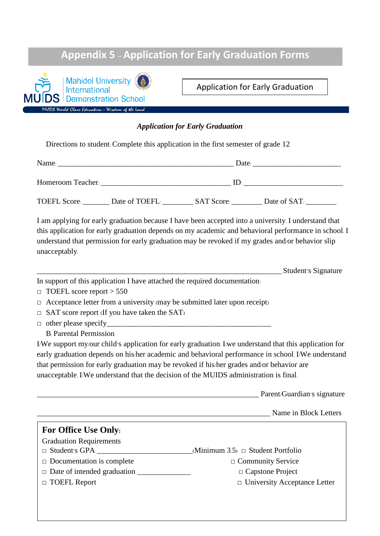## **Appendix 5 – Application for Early Graduation Forms**



Application for Early Graduation

## *Application for Early Graduation*

Directions to student: Complete this application in the first semester of grade 12

| Name: Date: Date:                                                                                                                                                                                                                                                                                                                                                                                                                                                               |                                                                                                                                                                                                                                              |  |
|---------------------------------------------------------------------------------------------------------------------------------------------------------------------------------------------------------------------------------------------------------------------------------------------------------------------------------------------------------------------------------------------------------------------------------------------------------------------------------|----------------------------------------------------------------------------------------------------------------------------------------------------------------------------------------------------------------------------------------------|--|
|                                                                                                                                                                                                                                                                                                                                                                                                                                                                                 |                                                                                                                                                                                                                                              |  |
| TOEFL Score: ________ Date of TOEFL: _________ SAT Score: ________ Date of SAT: _______                                                                                                                                                                                                                                                                                                                                                                                         |                                                                                                                                                                                                                                              |  |
| understand that permission for early graduation may be revoked if my grades and/or behavior slip<br>unacceptably.                                                                                                                                                                                                                                                                                                                                                               | I am applying for early graduation because I have been accepted into a university. I understand that<br>this application for early graduation depends on my academic and behavioral performance in school. I                                 |  |
|                                                                                                                                                                                                                                                                                                                                                                                                                                                                                 | Student's Signature                                                                                                                                                                                                                          |  |
| In support of this application I have attached the required documentation:<br>$\Box$ TOEFL score report > 550<br>$\Box$ Acceptance letter from a university (may be submitted later upon receipt)<br>$\Box$ SAT score report (If you have taken the SAT)<br><b>B.</b> Parental Permission<br>that permission for early graduation may be revoked if his/her grades and/or behavior are<br>unacceptable. I/We understand that the decision of the MUIDS administration is final. | I/We support my/our child's application for early graduation. I/we understand that this application for<br>early graduation depends on his/her academic and behavioral performance in school. I/We understand<br>Parent/Guardian's signature |  |
|                                                                                                                                                                                                                                                                                                                                                                                                                                                                                 | Name in Block Letters                                                                                                                                                                                                                        |  |
| <b>For Office Use Only:</b>                                                                                                                                                                                                                                                                                                                                                                                                                                                     |                                                                                                                                                                                                                                              |  |
| <b>Graduation Requirements</b><br>$\Box$ Documentation is complete<br>□ TOEFL Report                                                                                                                                                                                                                                                                                                                                                                                            | (Minimum 3.5) $\Box$ Student Portfolio<br>□ Community Service<br>□ Capstone Project<br>$\Box$ University Acceptance Letter                                                                                                                   |  |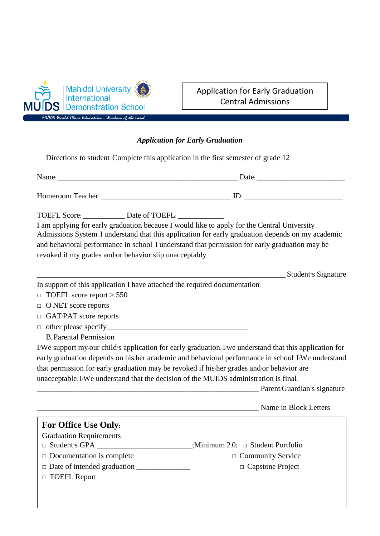

## Application for Early Graduation Central Admissions

## *Application for Early Graduation*

Directions to student: Complete this application in the first semester of grade 12

| TOEFL Score: Date of TOEFL:<br>I am applying for early graduation because I would like to apply for the Central University<br>and behavioral performance in school. I understand that permission for early graduation may be<br>revoked if my grades and/or behavior slip unacceptably.                                                                                                            | Admissions System. I understand that this application for early graduation depends on my academic                                                                                                                                                               |
|----------------------------------------------------------------------------------------------------------------------------------------------------------------------------------------------------------------------------------------------------------------------------------------------------------------------------------------------------------------------------------------------------|-----------------------------------------------------------------------------------------------------------------------------------------------------------------------------------------------------------------------------------------------------------------|
|                                                                                                                                                                                                                                                                                                                                                                                                    | Student's Signature                                                                                                                                                                                                                                             |
| In support of this application I have attached the required documentation.<br>$\Box$ TOEFL score report > 550<br>$\Box$ O-NET score reports<br>$\Box$ GAT/PAT score reports<br><b>B.</b> Parental Permission<br>that permission for early graduation may be revoked if his/her grades and/or behavior are<br>unacceptable. I/We understand that the decision of the MUIDS administration is final. | I/We support my/our child's application for early graduation. I/we understand that this application for<br>early graduation depends on his/her academic and behavioral performance in school. I/We understand<br><b>Example 2.1 Parent/Guardian's signature</b> |
|                                                                                                                                                                                                                                                                                                                                                                                                    | Name in Block Letters                                                                                                                                                                                                                                           |
| <b>For Office Use Only:</b><br><b>Graduation Requirements</b><br>$\Box$ Student's GPA _______________________(Minimum 2.0) $\Box$ Student Portfolio<br>$\Box$ Documentation is complete<br>$\Box$ Date of intended graduation $\Box$<br>□ TOEFL Report                                                                                                                                             | □ Community Service<br>$\Box$ Capstone Project                                                                                                                                                                                                                  |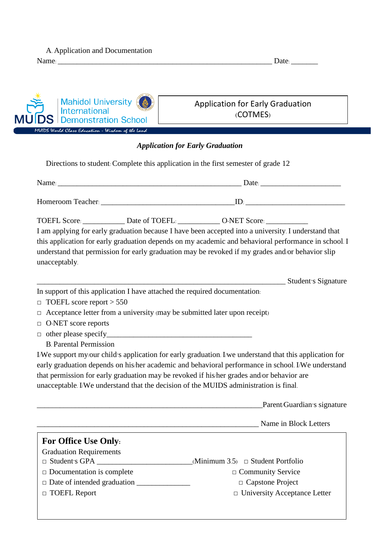| A. Application and Documentation |       |
|----------------------------------|-------|
| Name:                            | Date: |

| Mahidol University<br>$\frac{1}{2}$<br>MUIDS Demonstration School | <b>Application for Early Graduation</b><br>(COTMES) |
|-------------------------------------------------------------------|-----------------------------------------------------|
| MUIDS World Class Education - Wisdom of the Land                  |                                                     |

## *Application for Early Graduation*

□ TOEFL Report □ **□** University Acceptance Letter Directions to student: Complete this application in the first semester of grade 12 Name: \_\_\_\_\_\_\_\_\_\_\_\_\_\_\_\_\_\_\_\_\_\_\_\_\_\_\_\_\_\_\_\_\_\_\_\_\_\_\_\_\_\_\_\_\_\_\_\_ Date: \_\_\_\_\_\_\_\_\_\_\_\_\_\_\_\_\_\_\_\_\_ Homeroom Teacher: \_\_\_\_\_\_\_\_\_\_\_\_\_\_\_\_\_\_\_\_\_\_\_\_\_\_\_\_\_\_\_\_\_\_\_ID: \_\_\_\_\_\_\_\_\_\_\_\_\_\_\_\_\_\_\_\_\_\_\_\_\_\_ TOEFL Score:  $\qquad \qquad$  Date of TOEFL:  $\qquad \qquad$  O-NET Score: I am applying for early graduation because I have been accepted into a university. I understand that this application for early graduation depends on my academic and behavioral performance in school. I understand that permission for early graduation may be revoked if my grades and/or behavior slip unacceptably. \_\_\_\_\_\_\_\_\_\_\_\_\_\_\_\_\_\_\_\_\_\_\_\_\_\_\_\_\_\_\_\_\_\_\_\_\_\_\_\_\_\_\_\_\_\_\_\_\_\_\_\_\_\_\_\_\_\_\_\_\_\_\_\_\_ Student's Signature In support of this application I have attached the required documentation: **□** TOEFL score report > 550 **□** Acceptance letter from a university (may be submitted later upon receipt) **□** O-NET score reports □ other please specify B. Parental Permission I/We support my/our child's application for early graduation. I/we understand that this application for early graduation depends on his/her academic and behavioral performance in school. I/We understand that permission for early graduation may be revoked if his/her grades and/or behavior are unacceptable. I/We understand that the decision of the MUIDS administration is final. \_\_\_\_\_\_\_\_\_\_\_\_\_\_\_\_\_\_\_\_\_\_\_\_\_\_\_\_\_\_\_\_\_\_\_\_\_\_\_\_\_\_\_\_\_\_\_\_\_\_\_\_\_\_\_\_\_\_\_Parent/Guardian's signature \_\_\_\_\_\_\_\_\_\_\_\_\_\_\_\_\_\_\_\_\_\_\_\_\_\_\_\_\_\_\_\_\_\_\_\_\_\_\_\_\_\_\_\_\_\_\_\_\_\_\_\_\_\_\_\_\_\_ Name in Block Letters **For Office Use Only:** Graduation Requirements **□** Student's GPA \_\_\_\_\_\_\_\_\_\_\_\_\_\_\_\_\_\_\_\_\_\_\_\_\_(Minimum 3.5) **□** Student Portfolio **□** Documentation is complete **□** Community Service **□** Date of intended graduation \_\_\_\_\_\_\_\_\_\_\_\_\_\_ **□** Capstone Project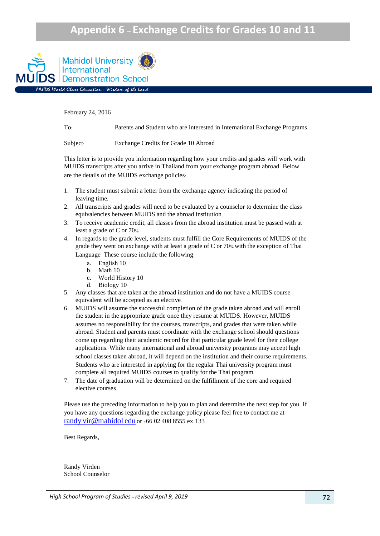## **Appendix 6 – Exchange Credits for Grades 10 and 11**



February 24, 2016

To: Parents and Student who are interested in International Exchange Programs

Subject: Exchange Credits for Grade 10 Abroad

This letter is to provide you information regarding how your credits and grades will work with MUIDS transcripts after you arrive in Thailand from your exchange program abroad. Below are the details of the MUIDS exchange policies:

- 1. The student must submit a letter from the exchange agency indicating the period of leaving time.
- 2. All transcripts and grades will need to be evaluated by a counselor to determine the class equivalencies between MUIDS and the abroad institution.
- 3. To receive academic credit, all classes from the abroad institution must be passed with at least a grade of C or 70%.
- 4. In regards to the grade level, students must fulfill the Core Requirements of MUIDS of the grade they went on exchange with at least a grade of C or 70% with the exception of Thai Language. These course include the following:
	- a. English 10
	- b. Math 10
	- c. World History 10
	- d. Biology 10
- 5. Any classes that are taken at the abroad institution and do not have a MUIDS course equivalent will be accepted as an elective.
- 6. MUIDS will assume the successful completion of the grade taken abroad and will enroll the student in the appropriate grade once they resume at MUIDS. However, MUIDS assumes no responsibility for the courses, transcripts, and grades that were taken while abroad. Student and parents must coordinate with the exchange school should questions come up regarding their academic record for that particular grade level for their college applications. While many international and abroad university programs may accept high school classes taken abroad, it will depend on the institution and their course requirements. Students who are interested in applying for the regular Thai university program must complete all required MUIDS courses to qualify for the Thai program.
- 7. The date of graduation will be determined on the fulfillment of the core and required elective courses.

Please use the preceding information to help you to plan and determine the next step for you. If you have any questions regarding the exchange policy please feel free to contact me at randy.[vir@mahidol](mailto:randy.vir@mahidol.edu).edu or +66 02-408-8555 ex. 133.

Best Regards,

Randy Virden School Counselor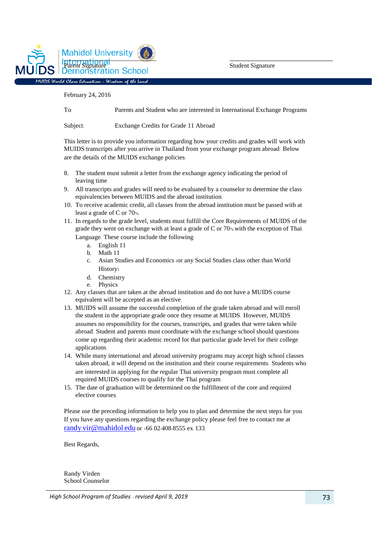

February 24, 2016

To: Parents and Student who are interested in International Exchange Programs

Subject: Exchange Credits for Grade 11 Abroad

This letter is to provide you information regarding how your credits and grades will work with MUIDS transcripts after you arrive in Thailand from your exchange program abroad. Below are the details of the MUIDS exchange policies:

- 8. The student must submit a letter from the exchange agency indicating the period of leaving time.
- 9. All transcripts and grades will need to be evaluated by a counselor to determine the class equivalencies between MUIDS and the abroad institution.
- 10. To receive academic credit, all classes from the abroad institution must be passed with at least a grade of C or 70%.

11. In regards to the grade level, students must fulfill the Core Requirements of MUIDS of the grade they went on exchange with at least a grade of C or 70% with the exception of Thai Language. These course include the following:

- a. English 11
- b. Math 11
- c. Asian Studies and Economics (or any Social Studies class other than World History)
- d. Chemistry
- e. Physics
- 12. Any classes that are taken at the abroad institution and do not have a MUIDS course equivalent will be accepted as an elective.
- 13. MUIDS will assume the successful completion of the grade taken abroad and will enroll the student in the appropriate grade once they resume at MUIDS. However, MUIDS assumes no responsibility for the courses, transcripts, and grades that were taken while abroad. Student and parents must coordinate with the exchange school should questions come up regarding their academic record for that particular grade level for their college applications.
- 14. While many international and abroad university programs may accept high school classes taken abroad, it will depend on the institution and their course requirements. Students who are interested in applying for the regular Thai university program must complete all required MUIDS courses to qualify for the Thai program.
- 15. The date of graduation will be determined on the fulfillment of the core and required elective courses.

Please use the preceding information to help you to plan and determine the next steps for you. If you have any questions regarding the exchange policy please feel free to contact me at randy.[vir@mahidol](mailto:randy.vir@mahidol.edu).edu or +66 02-408-8555 ex. 133.

Best Regards,

Randy Virden School Counselor